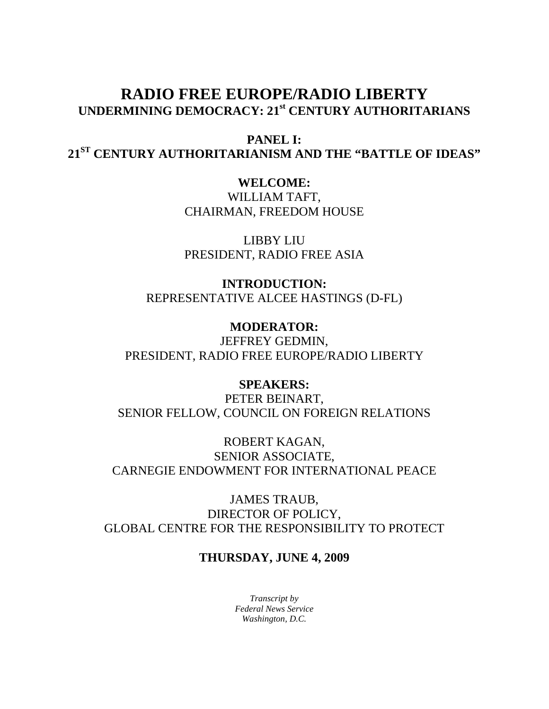# **RADIO FREE EUROPE/RADIO LIBERTY UNDERMINING DEMOCRACY: 21st CENTURY AUTHORITARIANS**

**PANEL I: 21ST CENTURY AUTHORITARIANISM AND THE "BATTLE OF IDEAS"**

> **WELCOME:**  WILLIAM TAFT,

CHAIRMAN, FREEDOM HOUSE

LIBBY LIU PRESIDENT, RADIO FREE ASIA

**INTRODUCTION:**  REPRESENTATIVE ALCEE HASTINGS (D-FL)

**MODERATOR:**  JEFFREY GEDMIN, PRESIDENT, RADIO FREE EUROPE/RADIO LIBERTY

**SPEAKERS:**  PETER BEINART, SENIOR FELLOW, COUNCIL ON FOREIGN RELATIONS

ROBERT KAGAN, SENIOR ASSOCIATE, CARNEGIE ENDOWMENT FOR INTERNATIONAL PEACE

JAMES TRAUB, DIRECTOR OF POLICY, GLOBAL CENTRE FOR THE RESPONSIBILITY TO PROTECT

# **THURSDAY, JUNE 4, 2009**

*Transcript by Federal News Service Washington, D.C.*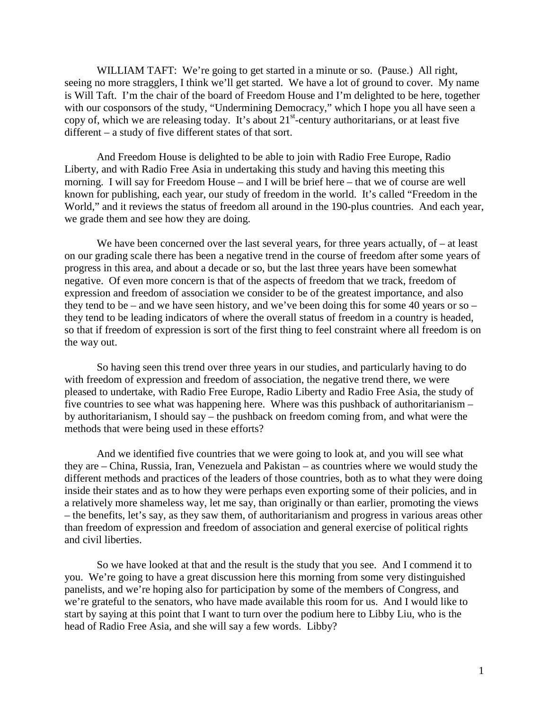WILLIAM TAFT: We're going to get started in a minute or so. (Pause.) All right, seeing no more stragglers, I think we'll get started. We have a lot of ground to cover. My name is Will Taft. I'm the chair of the board of Freedom House and I'm delighted to be here, together with our cosponsors of the study, "Undermining Democracy," which I hope you all have seen a copy of, which we are releasing today. It's about  $21<sup>st</sup>$ -century authoritarians, or at least five different – a study of five different states of that sort.

And Freedom House is delighted to be able to join with Radio Free Europe, Radio Liberty, and with Radio Free Asia in undertaking this study and having this meeting this morning. I will say for Freedom House – and I will be brief here – that we of course are well known for publishing, each year, our study of freedom in the world. It's called "Freedom in the World," and it reviews the status of freedom all around in the 190-plus countries. And each year, we grade them and see how they are doing.

We have been concerned over the last several years, for three years actually, of – at least on our grading scale there has been a negative trend in the course of freedom after some years of progress in this area, and about a decade or so, but the last three years have been somewhat negative. Of even more concern is that of the aspects of freedom that we track, freedom of expression and freedom of association we consider to be of the greatest importance, and also they tend to be – and we have seen history, and we've been doing this for some 40 years or so – they tend to be leading indicators of where the overall status of freedom in a country is headed, so that if freedom of expression is sort of the first thing to feel constraint where all freedom is on the way out.

So having seen this trend over three years in our studies, and particularly having to do with freedom of expression and freedom of association, the negative trend there, we were pleased to undertake, with Radio Free Europe, Radio Liberty and Radio Free Asia, the study of five countries to see what was happening here. Where was this pushback of authoritarianism – by authoritarianism, I should say – the pushback on freedom coming from, and what were the methods that were being used in these efforts?

And we identified five countries that we were going to look at, and you will see what they are – China, Russia, Iran, Venezuela and Pakistan – as countries where we would study the different methods and practices of the leaders of those countries, both as to what they were doing inside their states and as to how they were perhaps even exporting some of their policies, and in a relatively more shameless way, let me say, than originally or than earlier, promoting the views – the benefits, let's say, as they saw them, of authoritarianism and progress in various areas other than freedom of expression and freedom of association and general exercise of political rights and civil liberties.

So we have looked at that and the result is the study that you see. And I commend it to you. We're going to have a great discussion here this morning from some very distinguished panelists, and we're hoping also for participation by some of the members of Congress, and we're grateful to the senators, who have made available this room for us. And I would like to start by saying at this point that I want to turn over the podium here to Libby Liu, who is the head of Radio Free Asia, and she will say a few words. Libby?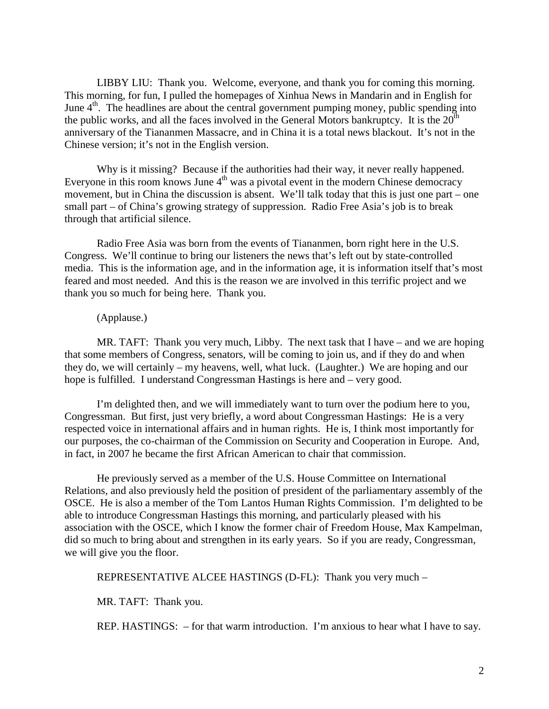LIBBY LIU: Thank you. Welcome, everyone, and thank you for coming this morning. This morning, for fun, I pulled the homepages of Xinhua News in Mandarin and in English for June  $4<sup>th</sup>$ . The headlines are about the central government pumping money, public spending into the public works, and all the faces involved in the General Motors bankruptcy. It is the  $20^{th}$ anniversary of the Tiananmen Massacre, and in China it is a total news blackout. It's not in the Chinese version; it's not in the English version.

Why is it missing? Because if the authorities had their way, it never really happened. Everyone in this room knows June  $4<sup>th</sup>$  was a pivotal event in the modern Chinese democracy movement, but in China the discussion is absent. We'll talk today that this is just one part – one small part – of China's growing strategy of suppression. Radio Free Asia's job is to break through that artificial silence.

Radio Free Asia was born from the events of Tiananmen, born right here in the U.S. Congress. We'll continue to bring our listeners the news that's left out by state-controlled media. This is the information age, and in the information age, it is information itself that's most feared and most needed. And this is the reason we are involved in this terrific project and we thank you so much for being here. Thank you.

# (Applause.)

MR. TAFT: Thank you very much, Libby. The next task that I have – and we are hoping that some members of Congress, senators, will be coming to join us, and if they do and when they do, we will certainly – my heavens, well, what luck. (Laughter.) We are hoping and our hope is fulfilled. I understand Congressman Hastings is here and – very good.

I'm delighted then, and we will immediately want to turn over the podium here to you, Congressman. But first, just very briefly, a word about Congressman Hastings: He is a very respected voice in international affairs and in human rights. He is, I think most importantly for our purposes, the co-chairman of the Commission on Security and Cooperation in Europe. And, in fact, in 2007 he became the first African American to chair that commission.

He previously served as a member of the U.S. House Committee on International Relations, and also previously held the position of president of the parliamentary assembly of the OSCE. He is also a member of the Tom Lantos Human Rights Commission. I'm delighted to be able to introduce Congressman Hastings this morning, and particularly pleased with his association with the OSCE, which I know the former chair of Freedom House, Max Kampelman, did so much to bring about and strengthen in its early years. So if you are ready, Congressman, we will give you the floor.

REPRESENTATIVE ALCEE HASTINGS (D-FL): Thank you very much –

MR. TAFT: Thank you.

REP. HASTINGS: – for that warm introduction. I'm anxious to hear what I have to say.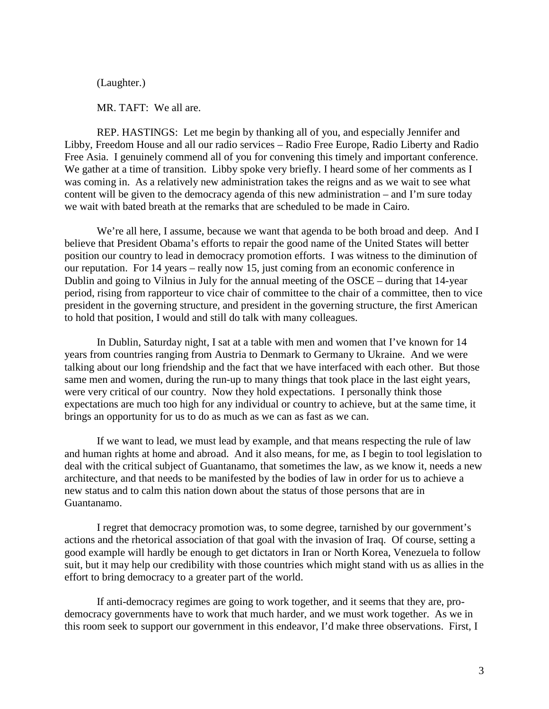(Laughter.)

MR. TAFT: We all are.

REP. HASTINGS: Let me begin by thanking all of you, and especially Jennifer and Libby, Freedom House and all our radio services – Radio Free Europe, Radio Liberty and Radio Free Asia. I genuinely commend all of you for convening this timely and important conference. We gather at a time of transition. Libby spoke very briefly. I heard some of her comments as I was coming in. As a relatively new administration takes the reigns and as we wait to see what content will be given to the democracy agenda of this new administration – and I'm sure today we wait with bated breath at the remarks that are scheduled to be made in Cairo.

We're all here, I assume, because we want that agenda to be both broad and deep. And I believe that President Obama's efforts to repair the good name of the United States will better position our country to lead in democracy promotion efforts. I was witness to the diminution of our reputation. For 14 years – really now 15, just coming from an economic conference in Dublin and going to Vilnius in July for the annual meeting of the OSCE – during that 14-year period, rising from rapporteur to vice chair of committee to the chair of a committee, then to vice president in the governing structure, and president in the governing structure, the first American to hold that position, I would and still do talk with many colleagues.

In Dublin, Saturday night, I sat at a table with men and women that I've known for 14 years from countries ranging from Austria to Denmark to Germany to Ukraine. And we were talking about our long friendship and the fact that we have interfaced with each other. But those same men and women, during the run-up to many things that took place in the last eight years, were very critical of our country. Now they hold expectations. I personally think those expectations are much too high for any individual or country to achieve, but at the same time, it brings an opportunity for us to do as much as we can as fast as we can.

If we want to lead, we must lead by example, and that means respecting the rule of law and human rights at home and abroad. And it also means, for me, as I begin to tool legislation to deal with the critical subject of Guantanamo, that sometimes the law, as we know it, needs a new architecture, and that needs to be manifested by the bodies of law in order for us to achieve a new status and to calm this nation down about the status of those persons that are in Guantanamo.

I regret that democracy promotion was, to some degree, tarnished by our government's actions and the rhetorical association of that goal with the invasion of Iraq. Of course, setting a good example will hardly be enough to get dictators in Iran or North Korea, Venezuela to follow suit, but it may help our credibility with those countries which might stand with us as allies in the effort to bring democracy to a greater part of the world.

If anti-democracy regimes are going to work together, and it seems that they are, prodemocracy governments have to work that much harder, and we must work together. As we in this room seek to support our government in this endeavor, I'd make three observations. First, I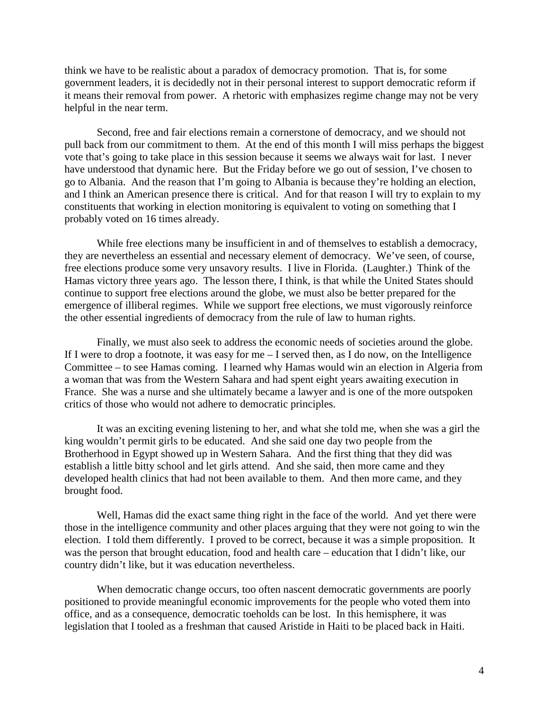think we have to be realistic about a paradox of democracy promotion. That is, for some government leaders, it is decidedly not in their personal interest to support democratic reform if it means their removal from power. A rhetoric with emphasizes regime change may not be very helpful in the near term.

Second, free and fair elections remain a cornerstone of democracy, and we should not pull back from our commitment to them. At the end of this month I will miss perhaps the biggest vote that's going to take place in this session because it seems we always wait for last. I never have understood that dynamic here. But the Friday before we go out of session, I've chosen to go to Albania. And the reason that I'm going to Albania is because they're holding an election, and I think an American presence there is critical. And for that reason I will try to explain to my constituents that working in election monitoring is equivalent to voting on something that I probably voted on 16 times already.

While free elections many be insufficient in and of themselves to establish a democracy, they are nevertheless an essential and necessary element of democracy. We've seen, of course, free elections produce some very unsavory results. I live in Florida. (Laughter.) Think of the Hamas victory three years ago. The lesson there, I think, is that while the United States should continue to support free elections around the globe, we must also be better prepared for the emergence of illiberal regimes. While we support free elections, we must vigorously reinforce the other essential ingredients of democracy from the rule of law to human rights.

Finally, we must also seek to address the economic needs of societies around the globe. If I were to drop a footnote, it was easy for me – I served then, as I do now, on the Intelligence Committee – to see Hamas coming. I learned why Hamas would win an election in Algeria from a woman that was from the Western Sahara and had spent eight years awaiting execution in France. She was a nurse and she ultimately became a lawyer and is one of the more outspoken critics of those who would not adhere to democratic principles.

It was an exciting evening listening to her, and what she told me, when she was a girl the king wouldn't permit girls to be educated. And she said one day two people from the Brotherhood in Egypt showed up in Western Sahara. And the first thing that they did was establish a little bitty school and let girls attend. And she said, then more came and they developed health clinics that had not been available to them. And then more came, and they brought food.

Well, Hamas did the exact same thing right in the face of the world. And yet there were those in the intelligence community and other places arguing that they were not going to win the election. I told them differently. I proved to be correct, because it was a simple proposition. It was the person that brought education, food and health care – education that I didn't like, our country didn't like, but it was education nevertheless.

When democratic change occurs, too often nascent democratic governments are poorly positioned to provide meaningful economic improvements for the people who voted them into office, and as a consequence, democratic toeholds can be lost. In this hemisphere, it was legislation that I tooled as a freshman that caused Aristide in Haiti to be placed back in Haiti.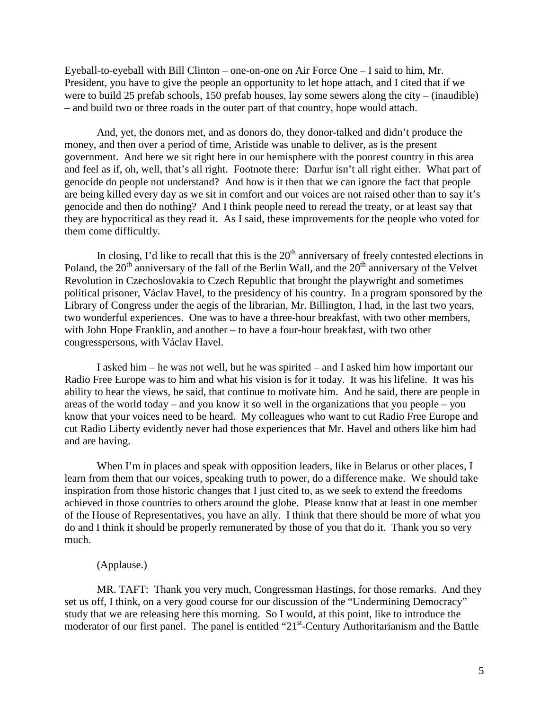Eyeball-to-eyeball with Bill Clinton – one-on-one on Air Force One – I said to him, Mr. President, you have to give the people an opportunity to let hope attach, and I cited that if we were to build 25 prefab schools, 150 prefab houses, lay some sewers along the city – (inaudible) – and build two or three roads in the outer part of that country, hope would attach.

And, yet, the donors met, and as donors do, they donor-talked and didn't produce the money, and then over a period of time, Aristide was unable to deliver, as is the present government. And here we sit right here in our hemisphere with the poorest country in this area and feel as if, oh, well, that's all right. Footnote there: Darfur isn't all right either. What part of genocide do people not understand? And how is it then that we can ignore the fact that people are being killed every day as we sit in comfort and our voices are not raised other than to say it's genocide and then do nothing? And I think people need to reread the treaty, or at least say that they are hypocritical as they read it. As I said, these improvements for the people who voted for them come difficultly.

In closing, I'd like to recall that this is the  $20<sup>th</sup>$  anniversary of freely contested elections in Poland, the  $20<sup>th</sup>$  anniversary of the fall of the Berlin Wall, and the  $20<sup>th</sup>$  anniversary of the Velvet Revolution in Czechoslovakia to Czech Republic that brought the playwright and sometimes political prisoner, Václav Havel, to the presidency of his country. In a program sponsored by the Library of Congress under the aegis of the librarian, Mr. Billington, I had, in the last two years, two wonderful experiences. One was to have a three-hour breakfast, with two other members, with John Hope Franklin, and another – to have a four-hour breakfast, with two other congresspersons, with Václav Havel.

I asked him – he was not well, but he was spirited – and I asked him how important our Radio Free Europe was to him and what his vision is for it today. It was his lifeline. It was his ability to hear the views, he said, that continue to motivate him. And he said, there are people in areas of the world today – and you know it so well in the organizations that you people – you know that your voices need to be heard. My colleagues who want to cut Radio Free Europe and cut Radio Liberty evidently never had those experiences that Mr. Havel and others like him had and are having.

When I'm in places and speak with opposition leaders, like in Belarus or other places, I learn from them that our voices, speaking truth to power, do a difference make. We should take inspiration from those historic changes that I just cited to, as we seek to extend the freedoms achieved in those countries to others around the globe. Please know that at least in one member of the House of Representatives, you have an ally. I think that there should be more of what you do and I think it should be properly remunerated by those of you that do it. Thank you so very much.

#### (Applause.)

MR. TAFT: Thank you very much, Congressman Hastings, for those remarks. And they set us off, I think, on a very good course for our discussion of the "Undermining Democracy" study that we are releasing here this morning. So I would, at this point, like to introduce the moderator of our first panel. The panel is entitled "21<sup>st</sup>-Century Authoritarianism and the Battle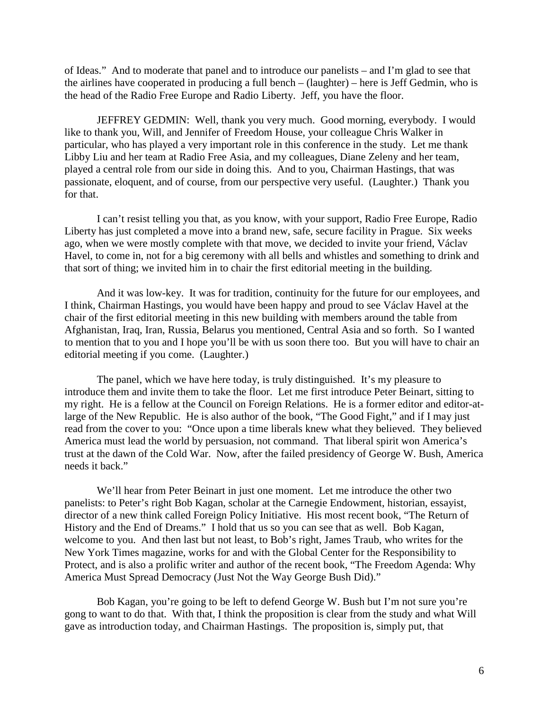of Ideas." And to moderate that panel and to introduce our panelists – and I'm glad to see that the airlines have cooperated in producing a full bench – (laughter) – here is Jeff Gedmin, who is the head of the Radio Free Europe and Radio Liberty. Jeff, you have the floor.

JEFFREY GEDMIN: Well, thank you very much. Good morning, everybody. I would like to thank you, Will, and Jennifer of Freedom House, your colleague Chris Walker in particular, who has played a very important role in this conference in the study. Let me thank Libby Liu and her team at Radio Free Asia, and my colleagues, Diane Zeleny and her team, played a central role from our side in doing this. And to you, Chairman Hastings, that was passionate, eloquent, and of course, from our perspective very useful. (Laughter.) Thank you for that.

I can't resist telling you that, as you know, with your support, Radio Free Europe, Radio Liberty has just completed a move into a brand new, safe, secure facility in Prague. Six weeks ago, when we were mostly complete with that move, we decided to invite your friend, Václav Havel, to come in, not for a big ceremony with all bells and whistles and something to drink and that sort of thing; we invited him in to chair the first editorial meeting in the building.

And it was low-key. It was for tradition, continuity for the future for our employees, and I think, Chairman Hastings, you would have been happy and proud to see Václav Havel at the chair of the first editorial meeting in this new building with members around the table from Afghanistan, Iraq, Iran, Russia, Belarus you mentioned, Central Asia and so forth. So I wanted to mention that to you and I hope you'll be with us soon there too. But you will have to chair an editorial meeting if you come. (Laughter.)

The panel, which we have here today, is truly distinguished. It's my pleasure to introduce them and invite them to take the floor. Let me first introduce Peter Beinart, sitting to my right. He is a fellow at the Council on Foreign Relations. He is a former editor and editor-atlarge of the New Republic. He is also author of the book, "The Good Fight," and if I may just read from the cover to you: "Once upon a time liberals knew what they believed. They believed America must lead the world by persuasion, not command. That liberal spirit won America's trust at the dawn of the Cold War. Now, after the failed presidency of George W. Bush, America needs it back."

We'll hear from Peter Beinart in just one moment. Let me introduce the other two panelists: to Peter's right Bob Kagan, scholar at the Carnegie Endowment, historian, essayist, director of a new think called Foreign Policy Initiative. His most recent book, "The Return of History and the End of Dreams." I hold that us so you can see that as well. Bob Kagan, welcome to you. And then last but not least, to Bob's right, James Traub, who writes for the New York Times magazine, works for and with the Global Center for the Responsibility to Protect, and is also a prolific writer and author of the recent book, "The Freedom Agenda: Why America Must Spread Democracy (Just Not the Way George Bush Did)."

Bob Kagan, you're going to be left to defend George W. Bush but I'm not sure you're gong to want to do that. With that, I think the proposition is clear from the study and what Will gave as introduction today, and Chairman Hastings. The proposition is, simply put, that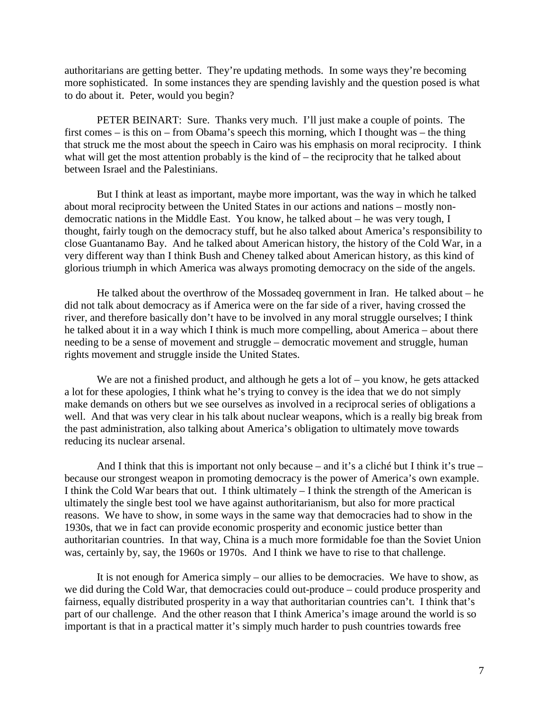authoritarians are getting better. They're updating methods. In some ways they're becoming more sophisticated. In some instances they are spending lavishly and the question posed is what to do about it. Peter, would you begin?

PETER BEINART: Sure. Thanks very much. I'll just make a couple of points. The first comes – is this on – from Obama's speech this morning, which I thought was – the thing that struck me the most about the speech in Cairo was his emphasis on moral reciprocity. I think what will get the most attention probably is the kind of – the reciprocity that he talked about between Israel and the Palestinians.

But I think at least as important, maybe more important, was the way in which he talked about moral reciprocity between the United States in our actions and nations – mostly nondemocratic nations in the Middle East. You know, he talked about – he was very tough, I thought, fairly tough on the democracy stuff, but he also talked about America's responsibility to close Guantanamo Bay. And he talked about American history, the history of the Cold War, in a very different way than I think Bush and Cheney talked about American history, as this kind of glorious triumph in which America was always promoting democracy on the side of the angels.

He talked about the overthrow of the Mossadeq government in Iran. He talked about – he did not talk about democracy as if America were on the far side of a river, having crossed the river, and therefore basically don't have to be involved in any moral struggle ourselves; I think he talked about it in a way which I think is much more compelling, about America – about there needing to be a sense of movement and struggle – democratic movement and struggle, human rights movement and struggle inside the United States.

We are not a finished product, and although he gets a lot of – you know, he gets attacked a lot for these apologies, I think what he's trying to convey is the idea that we do not simply make demands on others but we see ourselves as involved in a reciprocal series of obligations a well. And that was very clear in his talk about nuclear weapons, which is a really big break from the past administration, also talking about America's obligation to ultimately move towards reducing its nuclear arsenal.

And I think that this is important not only because – and it's a cliché but I think it's true – because our strongest weapon in promoting democracy is the power of America's own example. I think the Cold War bears that out. I think ultimately – I think the strength of the American is ultimately the single best tool we have against authoritarianism, but also for more practical reasons. We have to show, in some ways in the same way that democracies had to show in the 1930s, that we in fact can provide economic prosperity and economic justice better than authoritarian countries. In that way, China is a much more formidable foe than the Soviet Union was, certainly by, say, the 1960s or 1970s. And I think we have to rise to that challenge.

It is not enough for America simply – our allies to be democracies. We have to show, as we did during the Cold War, that democracies could out-produce – could produce prosperity and fairness, equally distributed prosperity in a way that authoritarian countries can't. I think that's part of our challenge. And the other reason that I think America's image around the world is so important is that in a practical matter it's simply much harder to push countries towards free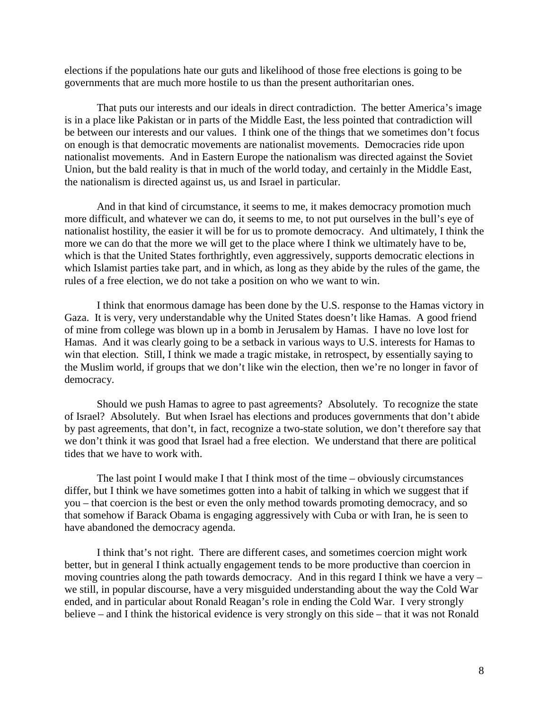elections if the populations hate our guts and likelihood of those free elections is going to be governments that are much more hostile to us than the present authoritarian ones.

That puts our interests and our ideals in direct contradiction. The better America's image is in a place like Pakistan or in parts of the Middle East, the less pointed that contradiction will be between our interests and our values. I think one of the things that we sometimes don't focus on enough is that democratic movements are nationalist movements. Democracies ride upon nationalist movements. And in Eastern Europe the nationalism was directed against the Soviet Union, but the bald reality is that in much of the world today, and certainly in the Middle East, the nationalism is directed against us, us and Israel in particular.

And in that kind of circumstance, it seems to me, it makes democracy promotion much more difficult, and whatever we can do, it seems to me, to not put ourselves in the bull's eye of nationalist hostility, the easier it will be for us to promote democracy. And ultimately, I think the more we can do that the more we will get to the place where I think we ultimately have to be, which is that the United States forthrightly, even aggressively, supports democratic elections in which Islamist parties take part, and in which, as long as they abide by the rules of the game, the rules of a free election, we do not take a position on who we want to win.

I think that enormous damage has been done by the U.S. response to the Hamas victory in Gaza. It is very, very understandable why the United States doesn't like Hamas. A good friend of mine from college was blown up in a bomb in Jerusalem by Hamas. I have no love lost for Hamas. And it was clearly going to be a setback in various ways to U.S. interests for Hamas to win that election. Still, I think we made a tragic mistake, in retrospect, by essentially saying to the Muslim world, if groups that we don't like win the election, then we're no longer in favor of democracy.

Should we push Hamas to agree to past agreements? Absolutely. To recognize the state of Israel? Absolutely. But when Israel has elections and produces governments that don't abide by past agreements, that don't, in fact, recognize a two-state solution, we don't therefore say that we don't think it was good that Israel had a free election. We understand that there are political tides that we have to work with.

The last point I would make I that I think most of the time – obviously circumstances differ, but I think we have sometimes gotten into a habit of talking in which we suggest that if you – that coercion is the best or even the only method towards promoting democracy, and so that somehow if Barack Obama is engaging aggressively with Cuba or with Iran, he is seen to have abandoned the democracy agenda.

I think that's not right. There are different cases, and sometimes coercion might work better, but in general I think actually engagement tends to be more productive than coercion in moving countries along the path towards democracy. And in this regard I think we have a very – we still, in popular discourse, have a very misguided understanding about the way the Cold War ended, and in particular about Ronald Reagan's role in ending the Cold War. I very strongly believe – and I think the historical evidence is very strongly on this side – that it was not Ronald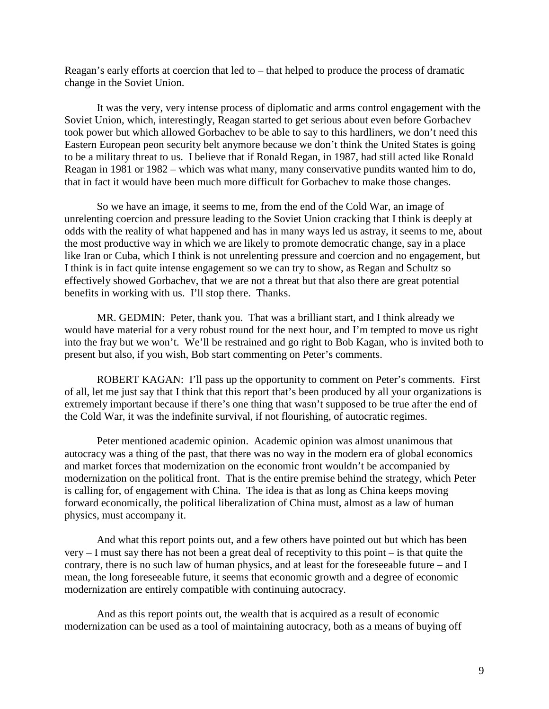Reagan's early efforts at coercion that led to – that helped to produce the process of dramatic change in the Soviet Union.

It was the very, very intense process of diplomatic and arms control engagement with the Soviet Union, which, interestingly, Reagan started to get serious about even before Gorbachev took power but which allowed Gorbachev to be able to say to this hardliners, we don't need this Eastern European peon security belt anymore because we don't think the United States is going to be a military threat to us. I believe that if Ronald Regan, in 1987, had still acted like Ronald Reagan in 1981 or 1982 – which was what many, many conservative pundits wanted him to do, that in fact it would have been much more difficult for Gorbachev to make those changes.

So we have an image, it seems to me, from the end of the Cold War, an image of unrelenting coercion and pressure leading to the Soviet Union cracking that I think is deeply at odds with the reality of what happened and has in many ways led us astray, it seems to me, about the most productive way in which we are likely to promote democratic change, say in a place like Iran or Cuba, which I think is not unrelenting pressure and coercion and no engagement, but I think is in fact quite intense engagement so we can try to show, as Regan and Schultz so effectively showed Gorbachev, that we are not a threat but that also there are great potential benefits in working with us. I'll stop there. Thanks.

MR. GEDMIN: Peter, thank you. That was a brilliant start, and I think already we would have material for a very robust round for the next hour, and I'm tempted to move us right into the fray but we won't. We'll be restrained and go right to Bob Kagan, who is invited both to present but also, if you wish, Bob start commenting on Peter's comments.

ROBERT KAGAN: I'll pass up the opportunity to comment on Peter's comments. First of all, let me just say that I think that this report that's been produced by all your organizations is extremely important because if there's one thing that wasn't supposed to be true after the end of the Cold War, it was the indefinite survival, if not flourishing, of autocratic regimes.

Peter mentioned academic opinion. Academic opinion was almost unanimous that autocracy was a thing of the past, that there was no way in the modern era of global economics and market forces that modernization on the economic front wouldn't be accompanied by modernization on the political front. That is the entire premise behind the strategy, which Peter is calling for, of engagement with China. The idea is that as long as China keeps moving forward economically, the political liberalization of China must, almost as a law of human physics, must accompany it.

And what this report points out, and a few others have pointed out but which has been very – I must say there has not been a great deal of receptivity to this point – is that quite the contrary, there is no such law of human physics, and at least for the foreseeable future – and I mean, the long foreseeable future, it seems that economic growth and a degree of economic modernization are entirely compatible with continuing autocracy.

And as this report points out, the wealth that is acquired as a result of economic modernization can be used as a tool of maintaining autocracy, both as a means of buying off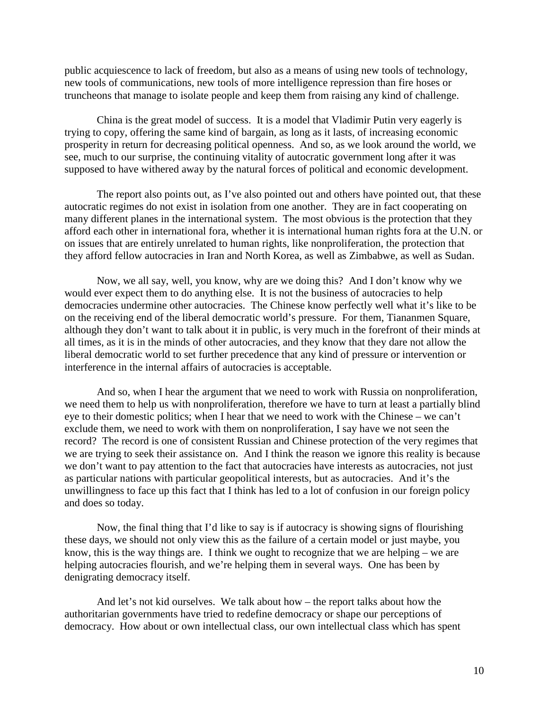public acquiescence to lack of freedom, but also as a means of using new tools of technology, new tools of communications, new tools of more intelligence repression than fire hoses or truncheons that manage to isolate people and keep them from raising any kind of challenge.

China is the great model of success. It is a model that Vladimir Putin very eagerly is trying to copy, offering the same kind of bargain, as long as it lasts, of increasing economic prosperity in return for decreasing political openness. And so, as we look around the world, we see, much to our surprise, the continuing vitality of autocratic government long after it was supposed to have withered away by the natural forces of political and economic development.

The report also points out, as I've also pointed out and others have pointed out, that these autocratic regimes do not exist in isolation from one another. They are in fact cooperating on many different planes in the international system. The most obvious is the protection that they afford each other in international fora, whether it is international human rights fora at the U.N. or on issues that are entirely unrelated to human rights, like nonproliferation, the protection that they afford fellow autocracies in Iran and North Korea, as well as Zimbabwe, as well as Sudan.

Now, we all say, well, you know, why are we doing this? And I don't know why we would ever expect them to do anything else. It is not the business of autocracies to help democracies undermine other autocracies. The Chinese know perfectly well what it's like to be on the receiving end of the liberal democratic world's pressure. For them, Tiananmen Square, although they don't want to talk about it in public, is very much in the forefront of their minds at all times, as it is in the minds of other autocracies, and they know that they dare not allow the liberal democratic world to set further precedence that any kind of pressure or intervention or interference in the internal affairs of autocracies is acceptable.

And so, when I hear the argument that we need to work with Russia on nonproliferation, we need them to help us with nonproliferation, therefore we have to turn at least a partially blind eye to their domestic politics; when I hear that we need to work with the Chinese – we can't exclude them, we need to work with them on nonproliferation, I say have we not seen the record? The record is one of consistent Russian and Chinese protection of the very regimes that we are trying to seek their assistance on. And I think the reason we ignore this reality is because we don't want to pay attention to the fact that autocracies have interests as autocracies, not just as particular nations with particular geopolitical interests, but as autocracies. And it's the unwillingness to face up this fact that I think has led to a lot of confusion in our foreign policy and does so today.

Now, the final thing that I'd like to say is if autocracy is showing signs of flourishing these days, we should not only view this as the failure of a certain model or just maybe, you know, this is the way things are. I think we ought to recognize that we are helping – we are helping autocracies flourish, and we're helping them in several ways. One has been by denigrating democracy itself.

And let's not kid ourselves. We talk about how – the report talks about how the authoritarian governments have tried to redefine democracy or shape our perceptions of democracy. How about or own intellectual class, our own intellectual class which has spent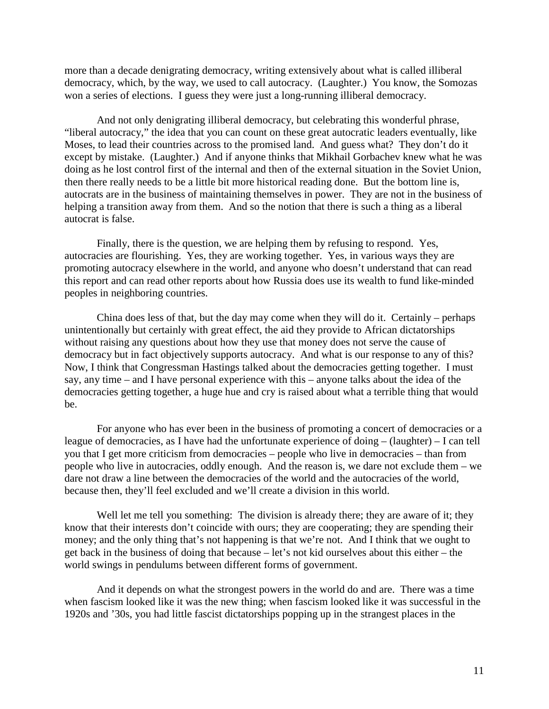more than a decade denigrating democracy, writing extensively about what is called illiberal democracy, which, by the way, we used to call autocracy. (Laughter.) You know, the Somozas won a series of elections. I guess they were just a long-running illiberal democracy.

And not only denigrating illiberal democracy, but celebrating this wonderful phrase, "liberal autocracy," the idea that you can count on these great autocratic leaders eventually, like Moses, to lead their countries across to the promised land. And guess what? They don't do it except by mistake. (Laughter.) And if anyone thinks that Mikhail Gorbachev knew what he was doing as he lost control first of the internal and then of the external situation in the Soviet Union, then there really needs to be a little bit more historical reading done. But the bottom line is, autocrats are in the business of maintaining themselves in power. They are not in the business of helping a transition away from them. And so the notion that there is such a thing as a liberal autocrat is false.

Finally, there is the question, we are helping them by refusing to respond. Yes, autocracies are flourishing. Yes, they are working together. Yes, in various ways they are promoting autocracy elsewhere in the world, and anyone who doesn't understand that can read this report and can read other reports about how Russia does use its wealth to fund like-minded peoples in neighboring countries.

China does less of that, but the day may come when they will do it. Certainly – perhaps unintentionally but certainly with great effect, the aid they provide to African dictatorships without raising any questions about how they use that money does not serve the cause of democracy but in fact objectively supports autocracy. And what is our response to any of this? Now, I think that Congressman Hastings talked about the democracies getting together. I must say, any time – and I have personal experience with this – anyone talks about the idea of the democracies getting together, a huge hue and cry is raised about what a terrible thing that would be.

For anyone who has ever been in the business of promoting a concert of democracies or a league of democracies, as I have had the unfortunate experience of doing – (laughter) – I can tell you that I get more criticism from democracies – people who live in democracies – than from people who live in autocracies, oddly enough. And the reason is, we dare not exclude them – we dare not draw a line between the democracies of the world and the autocracies of the world, because then, they'll feel excluded and we'll create a division in this world.

Well let me tell you something: The division is already there; they are aware of it; they know that their interests don't coincide with ours; they are cooperating; they are spending their money; and the only thing that's not happening is that we're not. And I think that we ought to get back in the business of doing that because – let's not kid ourselves about this either – the world swings in pendulums between different forms of government.

And it depends on what the strongest powers in the world do and are. There was a time when fascism looked like it was the new thing; when fascism looked like it was successful in the 1920s and '30s, you had little fascist dictatorships popping up in the strangest places in the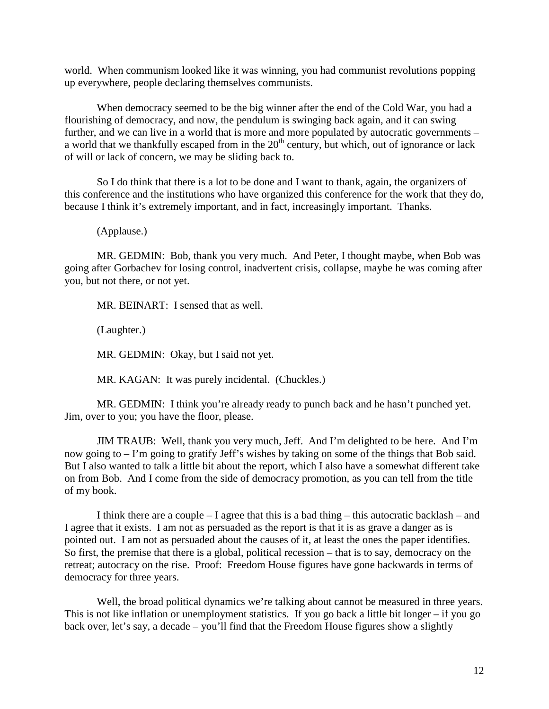world. When communism looked like it was winning, you had communist revolutions popping up everywhere, people declaring themselves communists.

When democracy seemed to be the big winner after the end of the Cold War, you had a flourishing of democracy, and now, the pendulum is swinging back again, and it can swing further, and we can live in a world that is more and more populated by autocratic governments – a world that we thankfully escaped from in the  $20<sup>th</sup>$  century, but which, out of ignorance or lack of will or lack of concern, we may be sliding back to.

So I do think that there is a lot to be done and I want to thank, again, the organizers of this conference and the institutions who have organized this conference for the work that they do, because I think it's extremely important, and in fact, increasingly important. Thanks.

(Applause.)

MR. GEDMIN: Bob, thank you very much. And Peter, I thought maybe, when Bob was going after Gorbachev for losing control, inadvertent crisis, collapse, maybe he was coming after you, but not there, or not yet.

MR. BEINART: I sensed that as well.

(Laughter.)

MR. GEDMIN: Okay, but I said not yet.

MR. KAGAN: It was purely incidental. (Chuckles.)

MR. GEDMIN: I think you're already ready to punch back and he hasn't punched yet. Jim, over to you; you have the floor, please.

JIM TRAUB: Well, thank you very much, Jeff. And I'm delighted to be here. And I'm now going to – I'm going to gratify Jeff's wishes by taking on some of the things that Bob said. But I also wanted to talk a little bit about the report, which I also have a somewhat different take on from Bob. And I come from the side of democracy promotion, as you can tell from the title of my book.

I think there are a couple – I agree that this is a bad thing – this autocratic backlash – and I agree that it exists. I am not as persuaded as the report is that it is as grave a danger as is pointed out. I am not as persuaded about the causes of it, at least the ones the paper identifies. So first, the premise that there is a global, political recession – that is to say, democracy on the retreat; autocracy on the rise. Proof: Freedom House figures have gone backwards in terms of democracy for three years.

Well, the broad political dynamics we're talking about cannot be measured in three years. This is not like inflation or unemployment statistics. If you go back a little bit longer – if you go back over, let's say, a decade – you'll find that the Freedom House figures show a slightly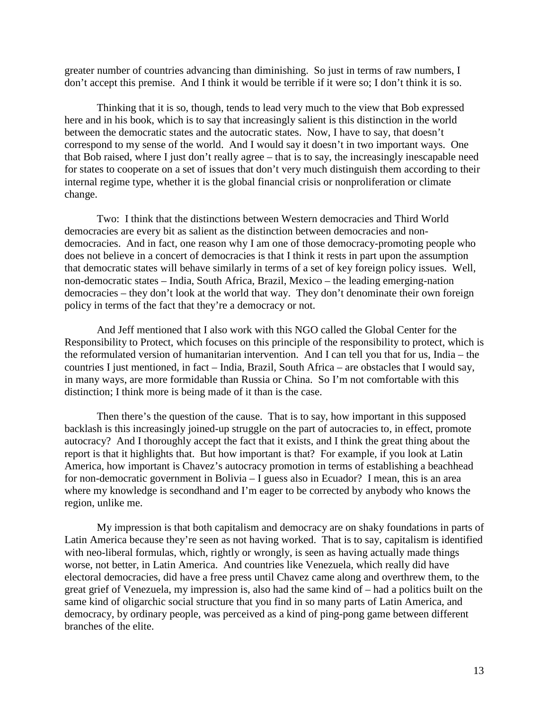greater number of countries advancing than diminishing. So just in terms of raw numbers, I don't accept this premise. And I think it would be terrible if it were so; I don't think it is so.

Thinking that it is so, though, tends to lead very much to the view that Bob expressed here and in his book, which is to say that increasingly salient is this distinction in the world between the democratic states and the autocratic states. Now, I have to say, that doesn't correspond to my sense of the world. And I would say it doesn't in two important ways. One that Bob raised, where I just don't really agree – that is to say, the increasingly inescapable need for states to cooperate on a set of issues that don't very much distinguish them according to their internal regime type, whether it is the global financial crisis or nonproliferation or climate change.

Two: I think that the distinctions between Western democracies and Third World democracies are every bit as salient as the distinction between democracies and nondemocracies. And in fact, one reason why I am one of those democracy-promoting people who does not believe in a concert of democracies is that I think it rests in part upon the assumption that democratic states will behave similarly in terms of a set of key foreign policy issues. Well, non-democratic states – India, South Africa, Brazil, Mexico – the leading emerging-nation democracies – they don't look at the world that way. They don't denominate their own foreign policy in terms of the fact that they're a democracy or not.

And Jeff mentioned that I also work with this NGO called the Global Center for the Responsibility to Protect, which focuses on this principle of the responsibility to protect, which is the reformulated version of humanitarian intervention. And I can tell you that for us, India – the countries I just mentioned, in fact – India, Brazil, South Africa – are obstacles that I would say, in many ways, are more formidable than Russia or China. So I'm not comfortable with this distinction; I think more is being made of it than is the case.

Then there's the question of the cause. That is to say, how important in this supposed backlash is this increasingly joined-up struggle on the part of autocracies to, in effect, promote autocracy? And I thoroughly accept the fact that it exists, and I think the great thing about the report is that it highlights that. But how important is that? For example, if you look at Latin America, how important is Chavez's autocracy promotion in terms of establishing a beachhead for non-democratic government in Bolivia – I guess also in Ecuador? I mean, this is an area where my knowledge is secondhand and I'm eager to be corrected by anybody who knows the region, unlike me.

My impression is that both capitalism and democracy are on shaky foundations in parts of Latin America because they're seen as not having worked. That is to say, capitalism is identified with neo-liberal formulas, which, rightly or wrongly, is seen as having actually made things worse, not better, in Latin America. And countries like Venezuela, which really did have electoral democracies, did have a free press until Chavez came along and overthrew them, to the great grief of Venezuela, my impression is, also had the same kind of – had a politics built on the same kind of oligarchic social structure that you find in so many parts of Latin America, and democracy, by ordinary people, was perceived as a kind of ping-pong game between different branches of the elite.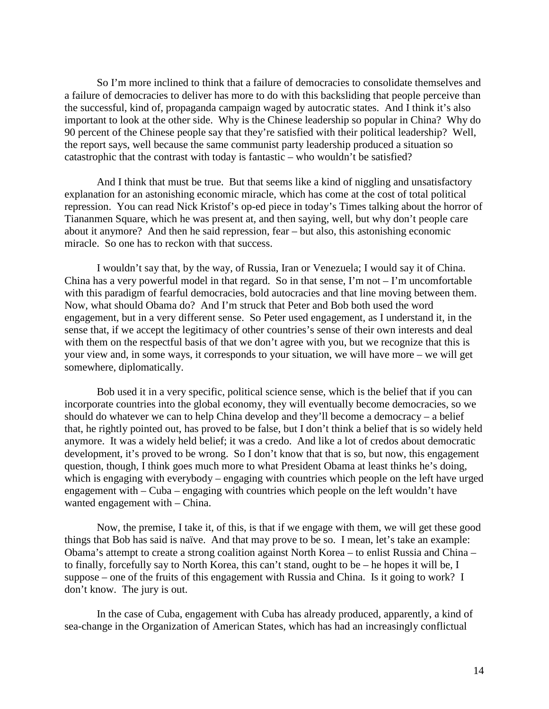So I'm more inclined to think that a failure of democracies to consolidate themselves and a failure of democracies to deliver has more to do with this backsliding that people perceive than the successful, kind of, propaganda campaign waged by autocratic states. And I think it's also important to look at the other side. Why is the Chinese leadership so popular in China? Why do 90 percent of the Chinese people say that they're satisfied with their political leadership? Well, the report says, well because the same communist party leadership produced a situation so catastrophic that the contrast with today is fantastic – who wouldn't be satisfied?

And I think that must be true. But that seems like a kind of niggling and unsatisfactory explanation for an astonishing economic miracle, which has come at the cost of total political repression. You can read Nick Kristof's op-ed piece in today's Times talking about the horror of Tiananmen Square, which he was present at, and then saying, well, but why don't people care about it anymore? And then he said repression, fear – but also, this astonishing economic miracle. So one has to reckon with that success.

I wouldn't say that, by the way, of Russia, Iran or Venezuela; I would say it of China. China has a very powerful model in that regard. So in that sense, I'm not – I'm uncomfortable with this paradigm of fearful democracies, bold autocracies and that line moving between them. Now, what should Obama do? And I'm struck that Peter and Bob both used the word engagement, but in a very different sense. So Peter used engagement, as I understand it, in the sense that, if we accept the legitimacy of other countries's sense of their own interests and deal with them on the respectful basis of that we don't agree with you, but we recognize that this is your view and, in some ways, it corresponds to your situation, we will have more – we will get somewhere, diplomatically.

Bob used it in a very specific, political science sense, which is the belief that if you can incorporate countries into the global economy, they will eventually become democracies, so we should do whatever we can to help China develop and they'll become a democracy – a belief that, he rightly pointed out, has proved to be false, but I don't think a belief that is so widely held anymore. It was a widely held belief; it was a credo. And like a lot of credos about democratic development, it's proved to be wrong. So I don't know that that is so, but now, this engagement question, though, I think goes much more to what President Obama at least thinks he's doing, which is engaging with everybody – engaging with countries which people on the left have urged engagement with – Cuba – engaging with countries which people on the left wouldn't have wanted engagement with – China.

Now, the premise, I take it, of this, is that if we engage with them, we will get these good things that Bob has said is naïve. And that may prove to be so. I mean, let's take an example: Obama's attempt to create a strong coalition against North Korea – to enlist Russia and China – to finally, forcefully say to North Korea, this can't stand, ought to be – he hopes it will be, I suppose – one of the fruits of this engagement with Russia and China. Is it going to work? I don't know. The jury is out.

In the case of Cuba, engagement with Cuba has already produced, apparently, a kind of sea-change in the Organization of American States, which has had an increasingly conflictual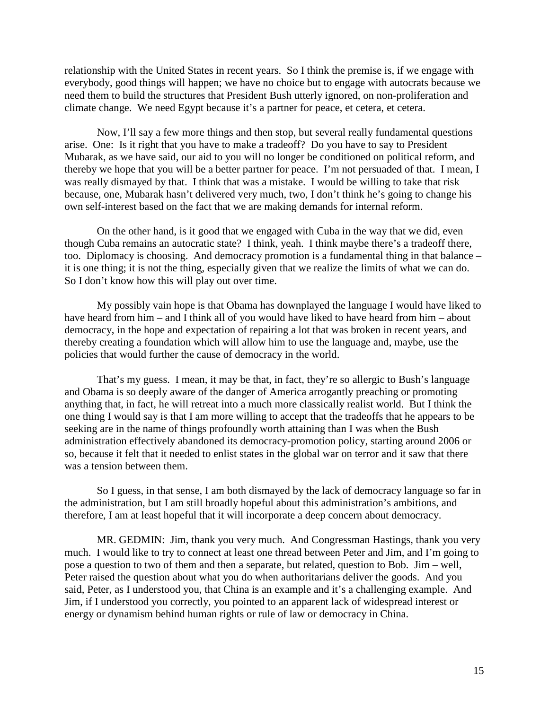relationship with the United States in recent years. So I think the premise is, if we engage with everybody, good things will happen; we have no choice but to engage with autocrats because we need them to build the structures that President Bush utterly ignored, on non-proliferation and climate change. We need Egypt because it's a partner for peace, et cetera, et cetera.

Now, I'll say a few more things and then stop, but several really fundamental questions arise. One: Is it right that you have to make a tradeoff? Do you have to say to President Mubarak, as we have said, our aid to you will no longer be conditioned on political reform, and thereby we hope that you will be a better partner for peace. I'm not persuaded of that. I mean, I was really dismayed by that. I think that was a mistake. I would be willing to take that risk because, one, Mubarak hasn't delivered very much, two, I don't think he's going to change his own self-interest based on the fact that we are making demands for internal reform.

On the other hand, is it good that we engaged with Cuba in the way that we did, even though Cuba remains an autocratic state? I think, yeah. I think maybe there's a tradeoff there, too. Diplomacy is choosing. And democracy promotion is a fundamental thing in that balance – it is one thing; it is not the thing, especially given that we realize the limits of what we can do. So I don't know how this will play out over time.

My possibly vain hope is that Obama has downplayed the language I would have liked to have heard from him – and I think all of you would have liked to have heard from him – about democracy, in the hope and expectation of repairing a lot that was broken in recent years, and thereby creating a foundation which will allow him to use the language and, maybe, use the policies that would further the cause of democracy in the world.

That's my guess. I mean, it may be that, in fact, they're so allergic to Bush's language and Obama is so deeply aware of the danger of America arrogantly preaching or promoting anything that, in fact, he will retreat into a much more classically realist world. But I think the one thing I would say is that I am more willing to accept that the tradeoffs that he appears to be seeking are in the name of things profoundly worth attaining than I was when the Bush administration effectively abandoned its democracy-promotion policy, starting around 2006 or so, because it felt that it needed to enlist states in the global war on terror and it saw that there was a tension between them.

So I guess, in that sense, I am both dismayed by the lack of democracy language so far in the administration, but I am still broadly hopeful about this administration's ambitions, and therefore, I am at least hopeful that it will incorporate a deep concern about democracy.

MR. GEDMIN: Jim, thank you very much. And Congressman Hastings, thank you very much. I would like to try to connect at least one thread between Peter and Jim, and I'm going to pose a question to two of them and then a separate, but related, question to Bob. Jim – well, Peter raised the question about what you do when authoritarians deliver the goods. And you said, Peter, as I understood you, that China is an example and it's a challenging example. And Jim, if I understood you correctly, you pointed to an apparent lack of widespread interest or energy or dynamism behind human rights or rule of law or democracy in China.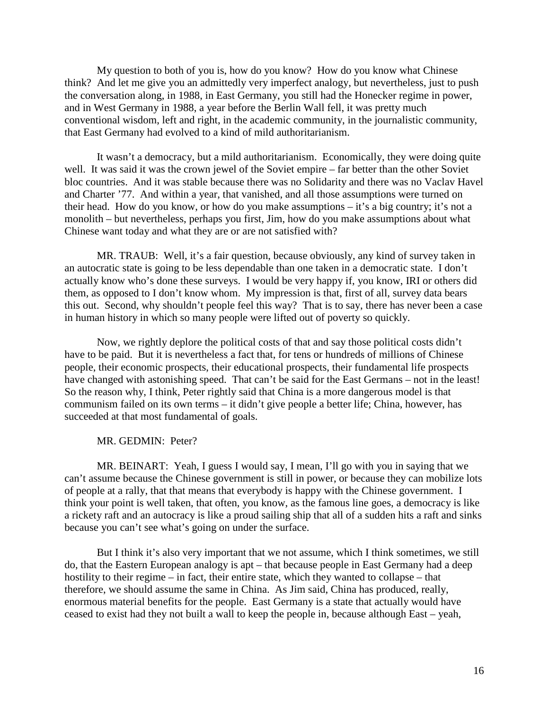My question to both of you is, how do you know? How do you know what Chinese think? And let me give you an admittedly very imperfect analogy, but nevertheless, just to push the conversation along, in 1988, in East Germany, you still had the Honecker regime in power, and in West Germany in 1988, a year before the Berlin Wall fell, it was pretty much conventional wisdom, left and right, in the academic community, in the journalistic community, that East Germany had evolved to a kind of mild authoritarianism.

It wasn't a democracy, but a mild authoritarianism. Economically, they were doing quite well. It was said it was the crown jewel of the Soviet empire – far better than the other Soviet bloc countries. And it was stable because there was no Solidarity and there was no Vaclav Havel and Charter '77. And within a year, that vanished, and all those assumptions were turned on their head. How do you know, or how do you make assumptions – it's a big country; it's not a monolith – but nevertheless, perhaps you first, Jim, how do you make assumptions about what Chinese want today and what they are or are not satisfied with?

MR. TRAUB: Well, it's a fair question, because obviously, any kind of survey taken in an autocratic state is going to be less dependable than one taken in a democratic state. I don't actually know who's done these surveys. I would be very happy if, you know, IRI or others did them, as opposed to I don't know whom. My impression is that, first of all, survey data bears this out. Second, why shouldn't people feel this way? That is to say, there has never been a case in human history in which so many people were lifted out of poverty so quickly.

Now, we rightly deplore the political costs of that and say those political costs didn't have to be paid. But it is nevertheless a fact that, for tens or hundreds of millions of Chinese people, their economic prospects, their educational prospects, their fundamental life prospects have changed with astonishing speed. That can't be said for the East Germans – not in the least! So the reason why, I think, Peter rightly said that China is a more dangerous model is that communism failed on its own terms – it didn't give people a better life; China, however, has succeeded at that most fundamental of goals.

MR. GEDMIN: Peter?

MR. BEINART: Yeah, I guess I would say, I mean, I'll go with you in saying that we can't assume because the Chinese government is still in power, or because they can mobilize lots of people at a rally, that that means that everybody is happy with the Chinese government. I think your point is well taken, that often, you know, as the famous line goes, a democracy is like a rickety raft and an autocracy is like a proud sailing ship that all of a sudden hits a raft and sinks because you can't see what's going on under the surface.

But I think it's also very important that we not assume, which I think sometimes, we still do, that the Eastern European analogy is apt – that because people in East Germany had a deep hostility to their regime – in fact, their entire state, which they wanted to collapse – that therefore, we should assume the same in China. As Jim said, China has produced, really, enormous material benefits for the people. East Germany is a state that actually would have ceased to exist had they not built a wall to keep the people in, because although East – yeah,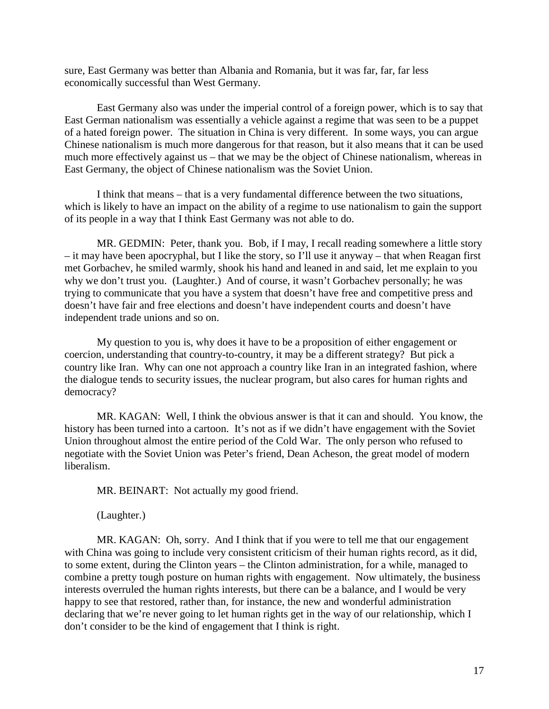sure, East Germany was better than Albania and Romania, but it was far, far, far less economically successful than West Germany.

East Germany also was under the imperial control of a foreign power, which is to say that East German nationalism was essentially a vehicle against a regime that was seen to be a puppet of a hated foreign power. The situation in China is very different. In some ways, you can argue Chinese nationalism is much more dangerous for that reason, but it also means that it can be used much more effectively against us – that we may be the object of Chinese nationalism, whereas in East Germany, the object of Chinese nationalism was the Soviet Union.

I think that means – that is a very fundamental difference between the two situations, which is likely to have an impact on the ability of a regime to use nationalism to gain the support of its people in a way that I think East Germany was not able to do.

MR. GEDMIN: Peter, thank you. Bob, if I may, I recall reading somewhere a little story – it may have been apocryphal, but I like the story, so I'll use it anyway – that when Reagan first met Gorbachev, he smiled warmly, shook his hand and leaned in and said, let me explain to you why we don't trust you. (Laughter.) And of course, it wasn't Gorbachev personally; he was trying to communicate that you have a system that doesn't have free and competitive press and doesn't have fair and free elections and doesn't have independent courts and doesn't have independent trade unions and so on.

My question to you is, why does it have to be a proposition of either engagement or coercion, understanding that country-to-country, it may be a different strategy? But pick a country like Iran. Why can one not approach a country like Iran in an integrated fashion, where the dialogue tends to security issues, the nuclear program, but also cares for human rights and democracy?

MR. KAGAN: Well, I think the obvious answer is that it can and should. You know, the history has been turned into a cartoon. It's not as if we didn't have engagement with the Soviet Union throughout almost the entire period of the Cold War. The only person who refused to negotiate with the Soviet Union was Peter's friend, Dean Acheson, the great model of modern liberalism.

MR. BEINART: Not actually my good friend.

(Laughter.)

MR. KAGAN: Oh, sorry. And I think that if you were to tell me that our engagement with China was going to include very consistent criticism of their human rights record, as it did, to some extent, during the Clinton years – the Clinton administration, for a while, managed to combine a pretty tough posture on human rights with engagement. Now ultimately, the business interests overruled the human rights interests, but there can be a balance, and I would be very happy to see that restored, rather than, for instance, the new and wonderful administration declaring that we're never going to let human rights get in the way of our relationship, which I don't consider to be the kind of engagement that I think is right.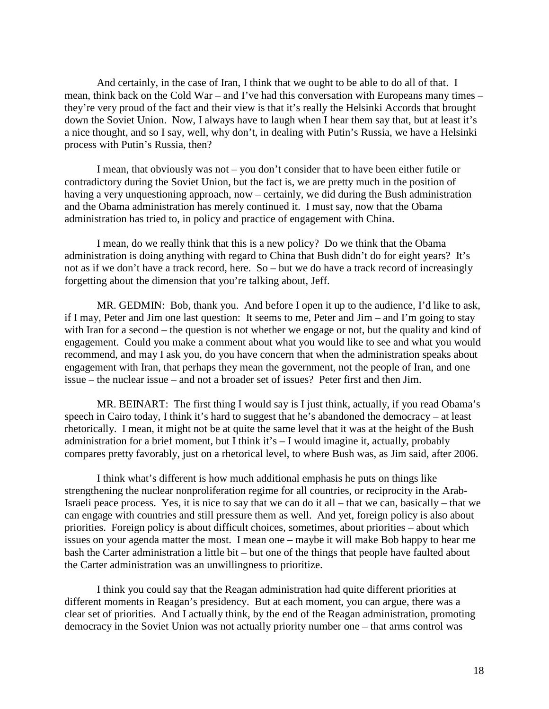And certainly, in the case of Iran, I think that we ought to be able to do all of that. I mean, think back on the Cold War – and I've had this conversation with Europeans many times – they're very proud of the fact and their view is that it's really the Helsinki Accords that brought down the Soviet Union. Now, I always have to laugh when I hear them say that, but at least it's a nice thought, and so I say, well, why don't, in dealing with Putin's Russia, we have a Helsinki process with Putin's Russia, then?

I mean, that obviously was not – you don't consider that to have been either futile or contradictory during the Soviet Union, but the fact is, we are pretty much in the position of having a very unquestioning approach, now – certainly, we did during the Bush administration and the Obama administration has merely continued it. I must say, now that the Obama administration has tried to, in policy and practice of engagement with China.

I mean, do we really think that this is a new policy? Do we think that the Obama administration is doing anything with regard to China that Bush didn't do for eight years? It's not as if we don't have a track record, here. So – but we do have a track record of increasingly forgetting about the dimension that you're talking about, Jeff.

MR. GEDMIN: Bob, thank you. And before I open it up to the audience, I'd like to ask, if I may, Peter and Jim one last question: It seems to me, Peter and Jim – and I'm going to stay with Iran for a second – the question is not whether we engage or not, but the quality and kind of engagement. Could you make a comment about what you would like to see and what you would recommend, and may I ask you, do you have concern that when the administration speaks about engagement with Iran, that perhaps they mean the government, not the people of Iran, and one issue – the nuclear issue – and not a broader set of issues? Peter first and then Jim.

MR. BEINART: The first thing I would say is I just think, actually, if you read Obama's speech in Cairo today, I think it's hard to suggest that he's abandoned the democracy – at least rhetorically. I mean, it might not be at quite the same level that it was at the height of the Bush administration for a brief moment, but I think it's – I would imagine it, actually, probably compares pretty favorably, just on a rhetorical level, to where Bush was, as Jim said, after 2006.

I think what's different is how much additional emphasis he puts on things like strengthening the nuclear nonproliferation regime for all countries, or reciprocity in the Arab-Israeli peace process. Yes, it is nice to say that we can do it all – that we can, basically – that we can engage with countries and still pressure them as well. And yet, foreign policy is also about priorities. Foreign policy is about difficult choices, sometimes, about priorities – about which issues on your agenda matter the most. I mean one – maybe it will make Bob happy to hear me bash the Carter administration a little bit – but one of the things that people have faulted about the Carter administration was an unwillingness to prioritize.

I think you could say that the Reagan administration had quite different priorities at different moments in Reagan's presidency. But at each moment, you can argue, there was a clear set of priorities. And I actually think, by the end of the Reagan administration, promoting democracy in the Soviet Union was not actually priority number one – that arms control was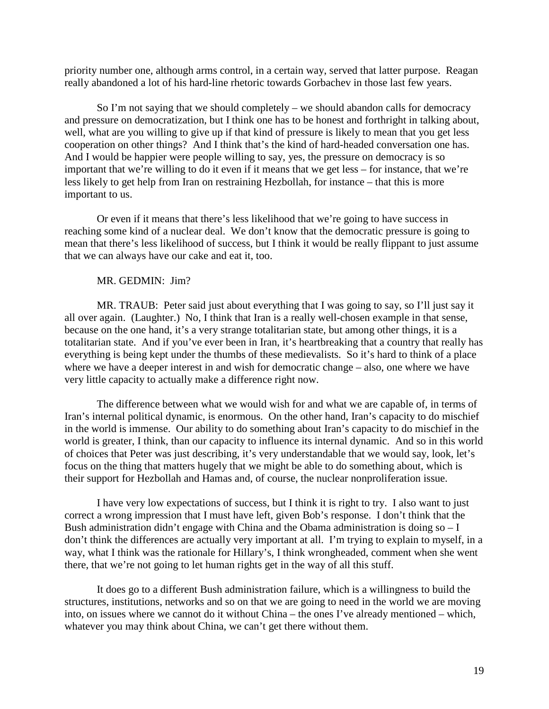priority number one, although arms control, in a certain way, served that latter purpose. Reagan really abandoned a lot of his hard-line rhetoric towards Gorbachev in those last few years.

So I'm not saying that we should completely – we should abandon calls for democracy and pressure on democratization, but I think one has to be honest and forthright in talking about, well, what are you willing to give up if that kind of pressure is likely to mean that you get less cooperation on other things? And I think that's the kind of hard-headed conversation one has. And I would be happier were people willing to say, yes, the pressure on democracy is so important that we're willing to do it even if it means that we get less – for instance, that we're less likely to get help from Iran on restraining Hezbollah, for instance – that this is more important to us.

Or even if it means that there's less likelihood that we're going to have success in reaching some kind of a nuclear deal. We don't know that the democratic pressure is going to mean that there's less likelihood of success, but I think it would be really flippant to just assume that we can always have our cake and eat it, too.

# MR. GEDMIN: Jim?

MR. TRAUB: Peter said just about everything that I was going to say, so I'll just say it all over again. (Laughter.) No, I think that Iran is a really well-chosen example in that sense, because on the one hand, it's a very strange totalitarian state, but among other things, it is a totalitarian state. And if you've ever been in Iran, it's heartbreaking that a country that really has everything is being kept under the thumbs of these medievalists. So it's hard to think of a place where we have a deeper interest in and wish for democratic change – also, one where we have very little capacity to actually make a difference right now.

The difference between what we would wish for and what we are capable of, in terms of Iran's internal political dynamic, is enormous. On the other hand, Iran's capacity to do mischief in the world is immense. Our ability to do something about Iran's capacity to do mischief in the world is greater, I think, than our capacity to influence its internal dynamic. And so in this world of choices that Peter was just describing, it's very understandable that we would say, look, let's focus on the thing that matters hugely that we might be able to do something about, which is their support for Hezbollah and Hamas and, of course, the nuclear nonproliferation issue.

I have very low expectations of success, but I think it is right to try. I also want to just correct a wrong impression that I must have left, given Bob's response. I don't think that the Bush administration didn't engage with China and the Obama administration is doing  $so - I$ don't think the differences are actually very important at all. I'm trying to explain to myself, in a way, what I think was the rationale for Hillary's, I think wrongheaded, comment when she went there, that we're not going to let human rights get in the way of all this stuff.

It does go to a different Bush administration failure, which is a willingness to build the structures, institutions, networks and so on that we are going to need in the world we are moving into, on issues where we cannot do it without China – the ones I've already mentioned – which, whatever you may think about China, we can't get there without them.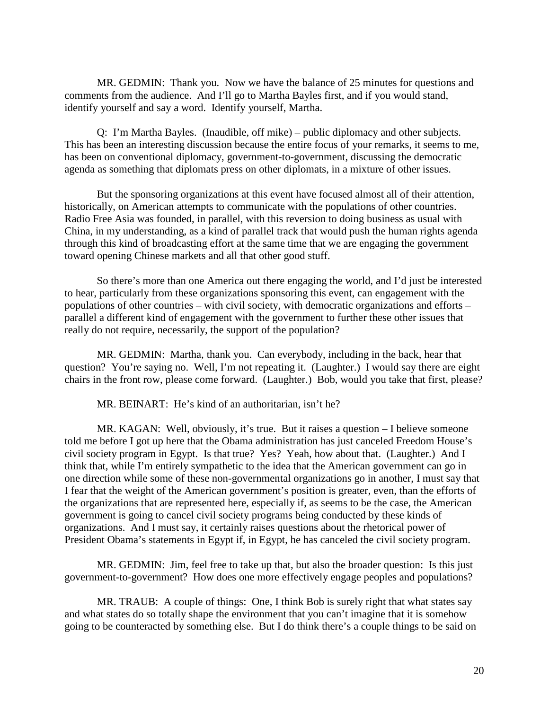MR. GEDMIN: Thank you. Now we have the balance of 25 minutes for questions and comments from the audience. And I'll go to Martha Bayles first, and if you would stand, identify yourself and say a word. Identify yourself, Martha.

Q: I'm Martha Bayles. (Inaudible, off mike) – public diplomacy and other subjects. This has been an interesting discussion because the entire focus of your remarks, it seems to me, has been on conventional diplomacy, government-to-government, discussing the democratic agenda as something that diplomats press on other diplomats, in a mixture of other issues.

But the sponsoring organizations at this event have focused almost all of their attention, historically, on American attempts to communicate with the populations of other countries. Radio Free Asia was founded, in parallel, with this reversion to doing business as usual with China, in my understanding, as a kind of parallel track that would push the human rights agenda through this kind of broadcasting effort at the same time that we are engaging the government toward opening Chinese markets and all that other good stuff.

So there's more than one America out there engaging the world, and I'd just be interested to hear, particularly from these organizations sponsoring this event, can engagement with the populations of other countries – with civil society, with democratic organizations and efforts – parallel a different kind of engagement with the government to further these other issues that really do not require, necessarily, the support of the population?

MR. GEDMIN: Martha, thank you. Can everybody, including in the back, hear that question? You're saying no. Well, I'm not repeating it. (Laughter.) I would say there are eight chairs in the front row, please come forward. (Laughter.) Bob, would you take that first, please?

MR. BEINART: He's kind of an authoritarian, isn't he?

MR. KAGAN: Well, obviously, it's true. But it raises a question – I believe someone told me before I got up here that the Obama administration has just canceled Freedom House's civil society program in Egypt. Is that true? Yes? Yeah, how about that. (Laughter.) And I think that, while I'm entirely sympathetic to the idea that the American government can go in one direction while some of these non-governmental organizations go in another, I must say that I fear that the weight of the American government's position is greater, even, than the efforts of the organizations that are represented here, especially if, as seems to be the case, the American government is going to cancel civil society programs being conducted by these kinds of organizations. And I must say, it certainly raises questions about the rhetorical power of President Obama's statements in Egypt if, in Egypt, he has canceled the civil society program.

MR. GEDMIN: Jim, feel free to take up that, but also the broader question: Is this just government-to-government? How does one more effectively engage peoples and populations?

MR. TRAUB: A couple of things: One, I think Bob is surely right that what states say and what states do so totally shape the environment that you can't imagine that it is somehow going to be counteracted by something else. But I do think there's a couple things to be said on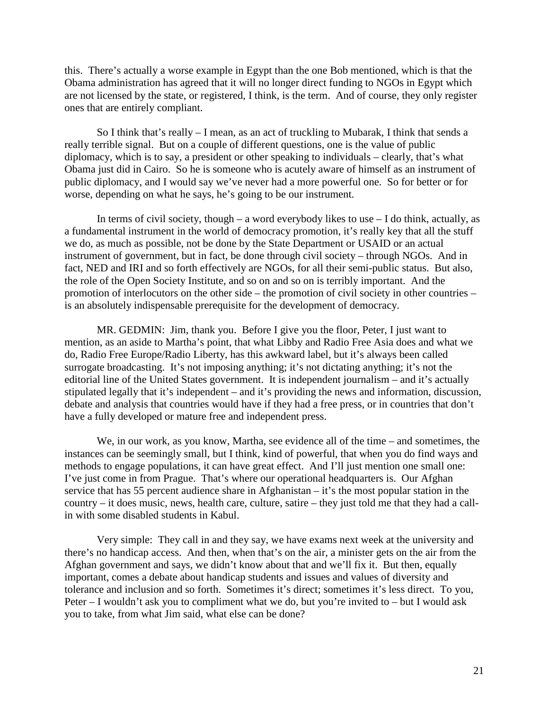this. There's actually a worse example in Egypt than the one Bob mentioned, which is that the Obama administration has agreed that it will no longer direct funding to NGOs in Egypt which are not licensed by the state, or registered, I think, is the term. And of course, they only register ones that are entirely compliant.

So I think that's really – I mean, as an act of truckling to Mubarak, I think that sends a really terrible signal. But on a couple of different questions, one is the value of public diplomacy, which is to say, a president or other speaking to individuals – clearly, that's what Obama just did in Cairo. So he is someone who is acutely aware of himself as an instrument of public diplomacy, and I would say we've never had a more powerful one. So for better or for worse, depending on what he says, he's going to be our instrument.

In terms of civil society, though – a word everybody likes to use  $-1$  do think, actually, as a fundamental instrument in the world of democracy promotion, it's really key that all the stuff we do, as much as possible, not be done by the State Department or USAID or an actual instrument of government, but in fact, be done through civil society – through NGOs. And in fact, NED and IRI and so forth effectively are NGOs, for all their semi-public status. But also, the role of the Open Society Institute, and so on and so on is terribly important. And the promotion of interlocutors on the other side – the promotion of civil society in other countries – is an absolutely indispensable prerequisite for the development of democracy.

MR. GEDMIN: Jim, thank you. Before I give you the floor, Peter, I just want to mention, as an aside to Martha's point, that what Libby and Radio Free Asia does and what we do, Radio Free Europe/Radio Liberty, has this awkward label, but it's always been called surrogate broadcasting. It's not imposing anything; it's not dictating anything; it's not the editorial line of the United States government. It is independent journalism – and it's actually stipulated legally that it's independent – and it's providing the news and information, discussion, debate and analysis that countries would have if they had a free press, or in countries that don't have a fully developed or mature free and independent press.

We, in our work, as you know, Martha, see evidence all of the time – and sometimes, the instances can be seemingly small, but I think, kind of powerful, that when you do find ways and methods to engage populations, it can have great effect. And I'll just mention one small one: I've just come in from Prague. That's where our operational headquarters is. Our Afghan service that has 55 percent audience share in Afghanistan – it's the most popular station in the country – it does music, news, health care, culture, satire – they just told me that they had a callin with some disabled students in Kabul.

Very simple: They call in and they say, we have exams next week at the university and there's no handicap access. And then, when that's on the air, a minister gets on the air from the Afghan government and says, we didn't know about that and we'll fix it. But then, equally important, comes a debate about handicap students and issues and values of diversity and tolerance and inclusion and so forth. Sometimes it's direct; sometimes it's less direct. To you, Peter – I wouldn't ask you to compliment what we do, but you're invited to – but I would ask you to take, from what Jim said, what else can be done?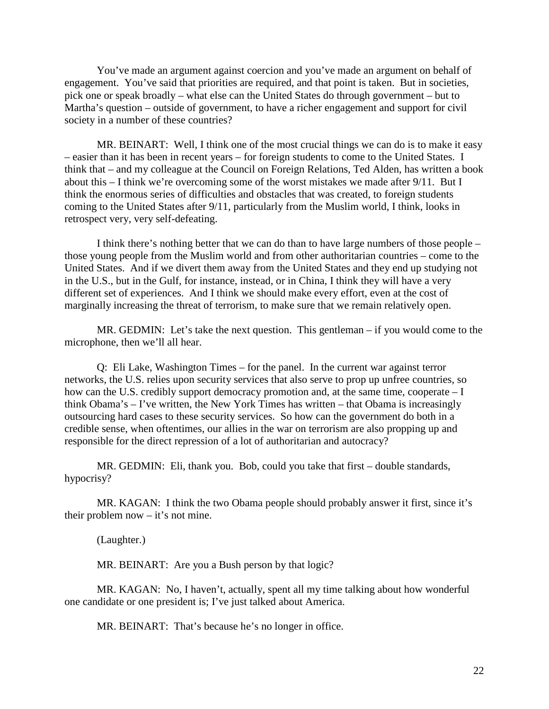You've made an argument against coercion and you've made an argument on behalf of engagement. You've said that priorities are required, and that point is taken. But in societies, pick one or speak broadly – what else can the United States do through government – but to Martha's question – outside of government, to have a richer engagement and support for civil society in a number of these countries?

MR. BEINART: Well, I think one of the most crucial things we can do is to make it easy – easier than it has been in recent years – for foreign students to come to the United States. I think that – and my colleague at the Council on Foreign Relations, Ted Alden, has written a book about this – I think we're overcoming some of the worst mistakes we made after 9/11. But I think the enormous series of difficulties and obstacles that was created, to foreign students coming to the United States after 9/11, particularly from the Muslim world, I think, looks in retrospect very, very self-defeating.

I think there's nothing better that we can do than to have large numbers of those people – those young people from the Muslim world and from other authoritarian countries – come to the United States. And if we divert them away from the United States and they end up studying not in the U.S., but in the Gulf, for instance, instead, or in China, I think they will have a very different set of experiences. And I think we should make every effort, even at the cost of marginally increasing the threat of terrorism, to make sure that we remain relatively open.

MR. GEDMIN: Let's take the next question. This gentleman – if you would come to the microphone, then we'll all hear.

Q: Eli Lake, Washington Times – for the panel. In the current war against terror networks, the U.S. relies upon security services that also serve to prop up unfree countries, so how can the U.S. credibly support democracy promotion and, at the same time, cooperate – I think Obama's – I've written, the New York Times has written – that Obama is increasingly outsourcing hard cases to these security services. So how can the government do both in a credible sense, when oftentimes, our allies in the war on terrorism are also propping up and responsible for the direct repression of a lot of authoritarian and autocracy?

MR. GEDMIN: Eli, thank you. Bob, could you take that first – double standards, hypocrisy?

MR. KAGAN: I think the two Obama people should probably answer it first, since it's their problem now – it's not mine.

(Laughter.)

MR. BEINART: Are you a Bush person by that logic?

MR. KAGAN: No, I haven't, actually, spent all my time talking about how wonderful one candidate or one president is; I've just talked about America.

MR. BEINART: That's because he's no longer in office.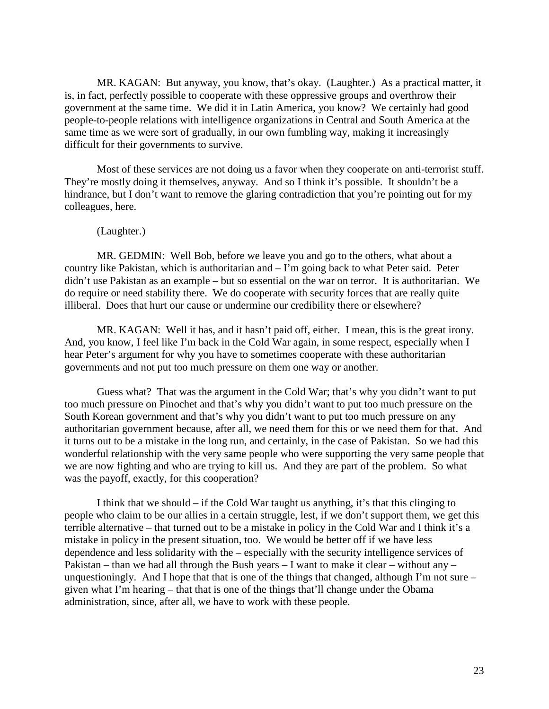MR. KAGAN: But anyway, you know, that's okay. (Laughter.) As a practical matter, it is, in fact, perfectly possible to cooperate with these oppressive groups and overthrow their government at the same time. We did it in Latin America, you know? We certainly had good people-to-people relations with intelligence organizations in Central and South America at the same time as we were sort of gradually, in our own fumbling way, making it increasingly difficult for their governments to survive.

Most of these services are not doing us a favor when they cooperate on anti-terrorist stuff. They're mostly doing it themselves, anyway. And so I think it's possible. It shouldn't be a hindrance, but I don't want to remove the glaring contradiction that you're pointing out for my colleagues, here.

## (Laughter.)

MR. GEDMIN: Well Bob, before we leave you and go to the others, what about a country like Pakistan, which is authoritarian and – I'm going back to what Peter said. Peter didn't use Pakistan as an example – but so essential on the war on terror. It is authoritarian. We do require or need stability there. We do cooperate with security forces that are really quite illiberal. Does that hurt our cause or undermine our credibility there or elsewhere?

MR. KAGAN: Well it has, and it hasn't paid off, either. I mean, this is the great irony. And, you know, I feel like I'm back in the Cold War again, in some respect, especially when I hear Peter's argument for why you have to sometimes cooperate with these authoritarian governments and not put too much pressure on them one way or another.

Guess what? That was the argument in the Cold War; that's why you didn't want to put too much pressure on Pinochet and that's why you didn't want to put too much pressure on the South Korean government and that's why you didn't want to put too much pressure on any authoritarian government because, after all, we need them for this or we need them for that. And it turns out to be a mistake in the long run, and certainly, in the case of Pakistan. So we had this wonderful relationship with the very same people who were supporting the very same people that we are now fighting and who are trying to kill us. And they are part of the problem. So what was the payoff, exactly, for this cooperation?

I think that we should – if the Cold War taught us anything, it's that this clinging to people who claim to be our allies in a certain struggle, lest, if we don't support them, we get this terrible alternative – that turned out to be a mistake in policy in the Cold War and I think it's a mistake in policy in the present situation, too. We would be better off if we have less dependence and less solidarity with the – especially with the security intelligence services of Pakistan – than we had all through the Bush years – I want to make it clear – without any – unquestioningly. And I hope that that is one of the things that changed, although I'm not sure – given what I'm hearing – that that is one of the things that'll change under the Obama administration, since, after all, we have to work with these people.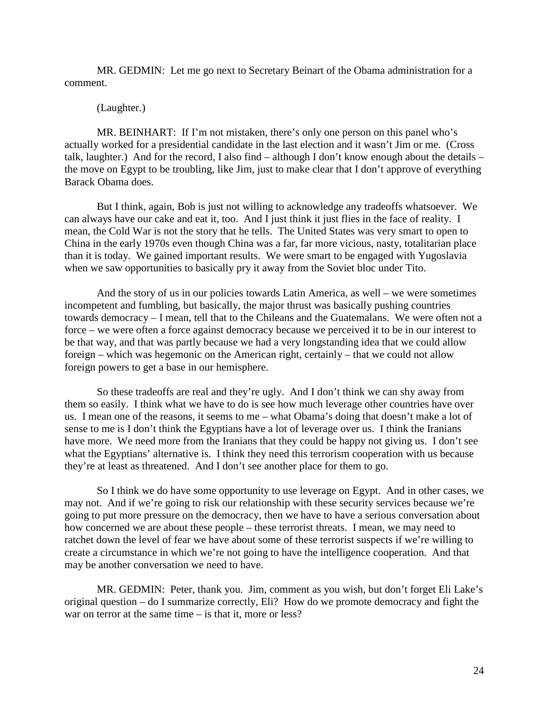MR. GEDMIN: Let me go next to Secretary Beinart of the Obama administration for a comment.

# (Laughter.)

MR. BEINHART: If I'm not mistaken, there's only one person on this panel who's actually worked for a presidential candidate in the last election and it wasn't Jim or me. (Cross talk, laughter.) And for the record, I also find – although I don't know enough about the details – the move on Egypt to be troubling, like Jim, just to make clear that I don't approve of everything Barack Obama does.

But I think, again, Bob is just not willing to acknowledge any tradeoffs whatsoever. We can always have our cake and eat it, too. And I just think it just flies in the face of reality. I mean, the Cold War is not the story that he tells. The United States was very smart to open to China in the early 1970s even though China was a far, far more vicious, nasty, totalitarian place than it is today. We gained important results. We were smart to be engaged with Yugoslavia when we saw opportunities to basically pry it away from the Soviet bloc under Tito.

And the story of us in our policies towards Latin America, as well – we were sometimes incompetent and fumbling, but basically, the major thrust was basically pushing countries towards democracy – I mean, tell that to the Chileans and the Guatemalans. We were often not a force – we were often a force against democracy because we perceived it to be in our interest to be that way, and that was partly because we had a very longstanding idea that we could allow foreign – which was hegemonic on the American right, certainly – that we could not allow foreign powers to get a base in our hemisphere.

So these tradeoffs are real and they're ugly. And I don't think we can shy away from them so easily. I think what we have to do is see how much leverage other countries have over us. I mean one of the reasons, it seems to me – what Obama's doing that doesn't make a lot of sense to me is I don't think the Egyptians have a lot of leverage over us. I think the Iranians have more. We need more from the Iranians that they could be happy not giving us. I don't see what the Egyptians' alternative is. I think they need this terrorism cooperation with us because they're at least as threatened. And I don't see another place for them to go.

So I think we do have some opportunity to use leverage on Egypt. And in other cases, we may not. And if we're going to risk our relationship with these security services because we're going to put more pressure on the democracy, then we have to have a serious conversation about how concerned we are about these people – these terrorist threats. I mean, we may need to ratchet down the level of fear we have about some of these terrorist suspects if we're willing to create a circumstance in which we're not going to have the intelligence cooperation. And that may be another conversation we need to have.

MR. GEDMIN: Peter, thank you. Jim, comment as you wish, but don't forget Eli Lake's original question – do I summarize correctly, Eli? How do we promote democracy and fight the war on terror at the same time – is that it, more or less?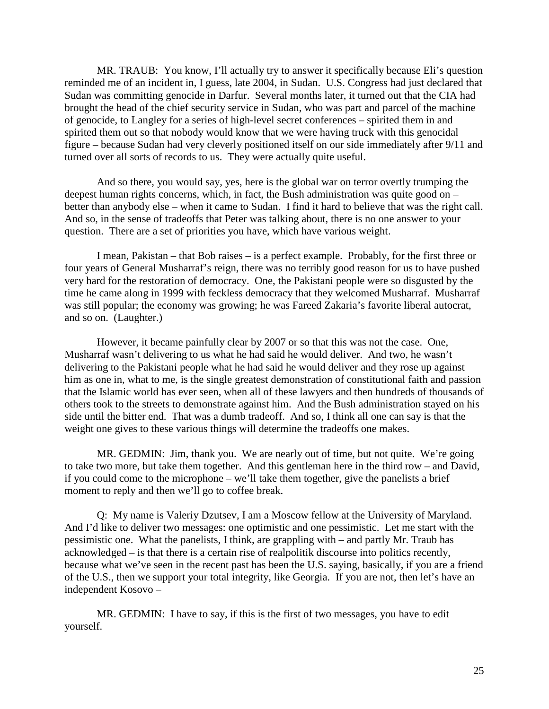MR. TRAUB: You know, I'll actually try to answer it specifically because Eli's question reminded me of an incident in, I guess, late 2004, in Sudan. U.S. Congress had just declared that Sudan was committing genocide in Darfur. Several months later, it turned out that the CIA had brought the head of the chief security service in Sudan, who was part and parcel of the machine of genocide, to Langley for a series of high-level secret conferences – spirited them in and spirited them out so that nobody would know that we were having truck with this genocidal figure – because Sudan had very cleverly positioned itself on our side immediately after 9/11 and turned over all sorts of records to us. They were actually quite useful.

And so there, you would say, yes, here is the global war on terror overtly trumping the deepest human rights concerns, which, in fact, the Bush administration was quite good on – better than anybody else – when it came to Sudan. I find it hard to believe that was the right call. And so, in the sense of tradeoffs that Peter was talking about, there is no one answer to your question. There are a set of priorities you have, which have various weight.

I mean, Pakistan – that Bob raises – is a perfect example. Probably, for the first three or four years of General Musharraf's reign, there was no terribly good reason for us to have pushed very hard for the restoration of democracy. One, the Pakistani people were so disgusted by the time he came along in 1999 with feckless democracy that they welcomed Musharraf. Musharraf was still popular; the economy was growing; he was Fareed Zakaria's favorite liberal autocrat, and so on. (Laughter.)

 However, it became painfully clear by 2007 or so that this was not the case. One, Musharraf wasn't delivering to us what he had said he would deliver. And two, he wasn't delivering to the Pakistani people what he had said he would deliver and they rose up against him as one in, what to me, is the single greatest demonstration of constitutional faith and passion that the Islamic world has ever seen, when all of these lawyers and then hundreds of thousands of others took to the streets to demonstrate against him. And the Bush administration stayed on his side until the bitter end. That was a dumb tradeoff. And so, I think all one can say is that the weight one gives to these various things will determine the tradeoffs one makes.

MR. GEDMIN: Jim, thank you. We are nearly out of time, but not quite. We're going to take two more, but take them together. And this gentleman here in the third row – and David, if you could come to the microphone – we'll take them together, give the panelists a brief moment to reply and then we'll go to coffee break.

 Q: My name is Valeriy Dzutsev, I am a Moscow fellow at the University of Maryland. And I'd like to deliver two messages: one optimistic and one pessimistic. Let me start with the pessimistic one. What the panelists, I think, are grappling with – and partly Mr. Traub has acknowledged – is that there is a certain rise of realpolitik discourse into politics recently, because what we've seen in the recent past has been the U.S. saying, basically, if you are a friend of the U.S., then we support your total integrity, like Georgia. If you are not, then let's have an independent Kosovo –

MR. GEDMIN: I have to say, if this is the first of two messages, you have to edit yourself.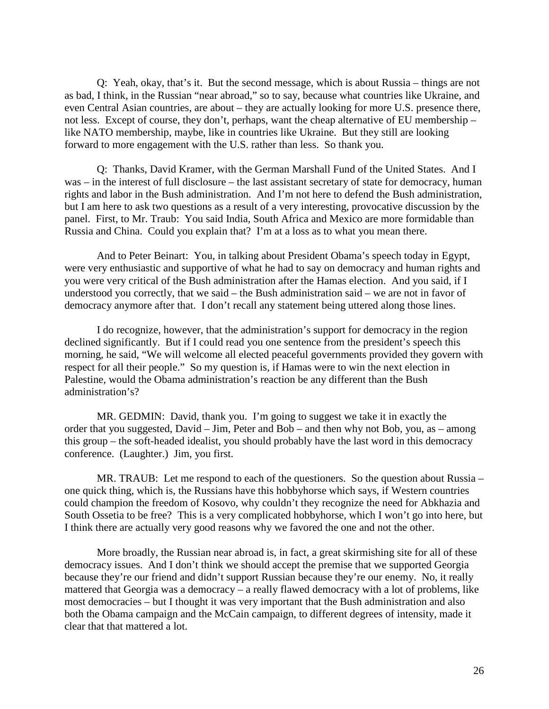Q: Yeah, okay, that's it. But the second message, which is about Russia – things are not as bad, I think, in the Russian "near abroad," so to say, because what countries like Ukraine, and even Central Asian countries, are about – they are actually looking for more U.S. presence there, not less. Except of course, they don't, perhaps, want the cheap alternative of EU membership – like NATO membership, maybe, like in countries like Ukraine. But they still are looking forward to more engagement with the U.S. rather than less. So thank you.

Q: Thanks, David Kramer, with the German Marshall Fund of the United States. And I was – in the interest of full disclosure – the last assistant secretary of state for democracy, human rights and labor in the Bush administration. And I'm not here to defend the Bush administration, but I am here to ask two questions as a result of a very interesting, provocative discussion by the panel. First, to Mr. Traub: You said India, South Africa and Mexico are more formidable than Russia and China. Could you explain that? I'm at a loss as to what you mean there.

And to Peter Beinart: You, in talking about President Obama's speech today in Egypt, were very enthusiastic and supportive of what he had to say on democracy and human rights and you were very critical of the Bush administration after the Hamas election. And you said, if I understood you correctly, that we said – the Bush administration said – we are not in favor of democracy anymore after that. I don't recall any statement being uttered along those lines.

I do recognize, however, that the administration's support for democracy in the region declined significantly. But if I could read you one sentence from the president's speech this morning, he said, "We will welcome all elected peaceful governments provided they govern with respect for all their people." So my question is, if Hamas were to win the next election in Palestine, would the Obama administration's reaction be any different than the Bush administration's?

MR. GEDMIN: David, thank you. I'm going to suggest we take it in exactly the order that you suggested, David – Jim, Peter and Bob – and then why not Bob, you, as – among this group – the soft-headed idealist, you should probably have the last word in this democracy conference. (Laughter.) Jim, you first.

MR. TRAUB: Let me respond to each of the questioners. So the question about Russia – one quick thing, which is, the Russians have this hobbyhorse which says, if Western countries could champion the freedom of Kosovo, why couldn't they recognize the need for Abkhazia and South Ossetia to be free? This is a very complicated hobbyhorse, which I won't go into here, but I think there are actually very good reasons why we favored the one and not the other.

More broadly, the Russian near abroad is, in fact, a great skirmishing site for all of these democracy issues. And I don't think we should accept the premise that we supported Georgia because they're our friend and didn't support Russian because they're our enemy. No, it really mattered that Georgia was a democracy – a really flawed democracy with a lot of problems, like most democracies – but I thought it was very important that the Bush administration and also both the Obama campaign and the McCain campaign, to different degrees of intensity, made it clear that that mattered a lot.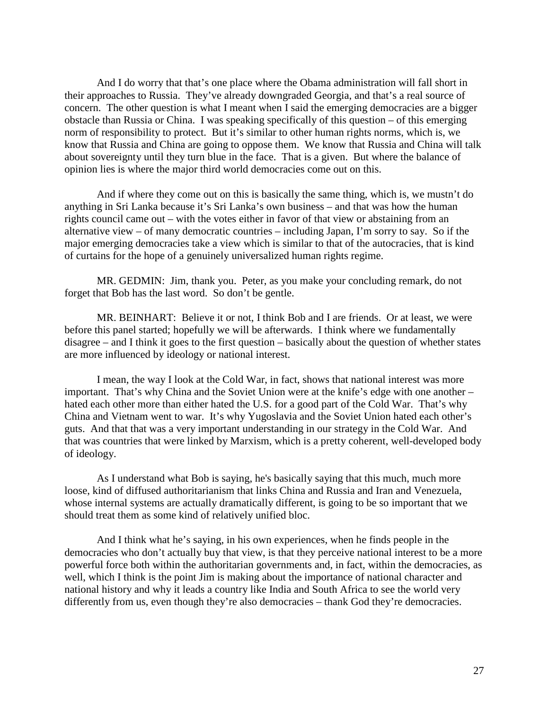And I do worry that that's one place where the Obama administration will fall short in their approaches to Russia. They've already downgraded Georgia, and that's a real source of concern. The other question is what I meant when I said the emerging democracies are a bigger obstacle than Russia or China. I was speaking specifically of this question – of this emerging norm of responsibility to protect. But it's similar to other human rights norms, which is, we know that Russia and China are going to oppose them. We know that Russia and China will talk about sovereignty until they turn blue in the face. That is a given. But where the balance of opinion lies is where the major third world democracies come out on this.

And if where they come out on this is basically the same thing, which is, we mustn't do anything in Sri Lanka because it's Sri Lanka's own business – and that was how the human rights council came out – with the votes either in favor of that view or abstaining from an alternative view – of many democratic countries – including Japan, I'm sorry to say. So if the major emerging democracies take a view which is similar to that of the autocracies, that is kind of curtains for the hope of a genuinely universalized human rights regime.

MR. GEDMIN: Jim, thank you. Peter, as you make your concluding remark, do not forget that Bob has the last word. So don't be gentle.

MR. BEINHART: Believe it or not, I think Bob and I are friends. Or at least, we were before this panel started; hopefully we will be afterwards. I think where we fundamentally disagree – and I think it goes to the first question – basically about the question of whether states are more influenced by ideology or national interest.

I mean, the way I look at the Cold War, in fact, shows that national interest was more important. That's why China and the Soviet Union were at the knife's edge with one another – hated each other more than either hated the U.S. for a good part of the Cold War. That's why China and Vietnam went to war. It's why Yugoslavia and the Soviet Union hated each other's guts. And that that was a very important understanding in our strategy in the Cold War. And that was countries that were linked by Marxism, which is a pretty coherent, well-developed body of ideology.

As I understand what Bob is saying, he's basically saying that this much, much more loose, kind of diffused authoritarianism that links China and Russia and Iran and Venezuela, whose internal systems are actually dramatically different, is going to be so important that we should treat them as some kind of relatively unified bloc.

And I think what he's saying, in his own experiences, when he finds people in the democracies who don't actually buy that view, is that they perceive national interest to be a more powerful force both within the authoritarian governments and, in fact, within the democracies, as well, which I think is the point Jim is making about the importance of national character and national history and why it leads a country like India and South Africa to see the world very differently from us, even though they're also democracies – thank God they're democracies.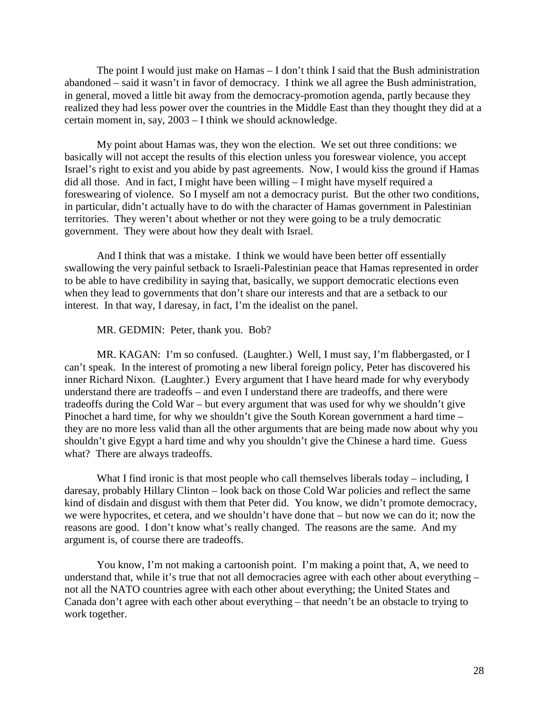The point I would just make on Hamas – I don't think I said that the Bush administration abandoned – said it wasn't in favor of democracy. I think we all agree the Bush administration, in general, moved a little bit away from the democracy-promotion agenda, partly because they realized they had less power over the countries in the Middle East than they thought they did at a certain moment in, say, 2003 – I think we should acknowledge.

My point about Hamas was, they won the election. We set out three conditions: we basically will not accept the results of this election unless you foreswear violence, you accept Israel's right to exist and you abide by past agreements. Now, I would kiss the ground if Hamas did all those. And in fact, I might have been willing – I might have myself required a foreswearing of violence. So I myself am not a democracy purist. But the other two conditions, in particular, didn't actually have to do with the character of Hamas government in Palestinian territories. They weren't about whether or not they were going to be a truly democratic government. They were about how they dealt with Israel.

And I think that was a mistake. I think we would have been better off essentially swallowing the very painful setback to Israeli-Palestinian peace that Hamas represented in order to be able to have credibility in saying that, basically, we support democratic elections even when they lead to governments that don't share our interests and that are a setback to our interest. In that way, I daresay, in fact, I'm the idealist on the panel.

MR. GEDMIN: Peter, thank you. Bob?

MR. KAGAN: I'm so confused. (Laughter.) Well, I must say, I'm flabbergasted, or I can't speak. In the interest of promoting a new liberal foreign policy, Peter has discovered his inner Richard Nixon. (Laughter.) Every argument that I have heard made for why everybody understand there are tradeoffs – and even I understand there are tradeoffs, and there were tradeoffs during the Cold War – but every argument that was used for why we shouldn't give Pinochet a hard time, for why we shouldn't give the South Korean government a hard time – they are no more less valid than all the other arguments that are being made now about why you shouldn't give Egypt a hard time and why you shouldn't give the Chinese a hard time. Guess what? There are always tradeoffs.

What I find ironic is that most people who call themselves liberals today – including, I daresay, probably Hillary Clinton – look back on those Cold War policies and reflect the same kind of disdain and disgust with them that Peter did. You know, we didn't promote democracy, we were hypocrites, et cetera, and we shouldn't have done that – but now we can do it; now the reasons are good. I don't know what's really changed. The reasons are the same. And my argument is, of course there are tradeoffs.

You know, I'm not making a cartoonish point. I'm making a point that, A, we need to understand that, while it's true that not all democracies agree with each other about everything – not all the NATO countries agree with each other about everything; the United States and Canada don't agree with each other about everything – that needn't be an obstacle to trying to work together.